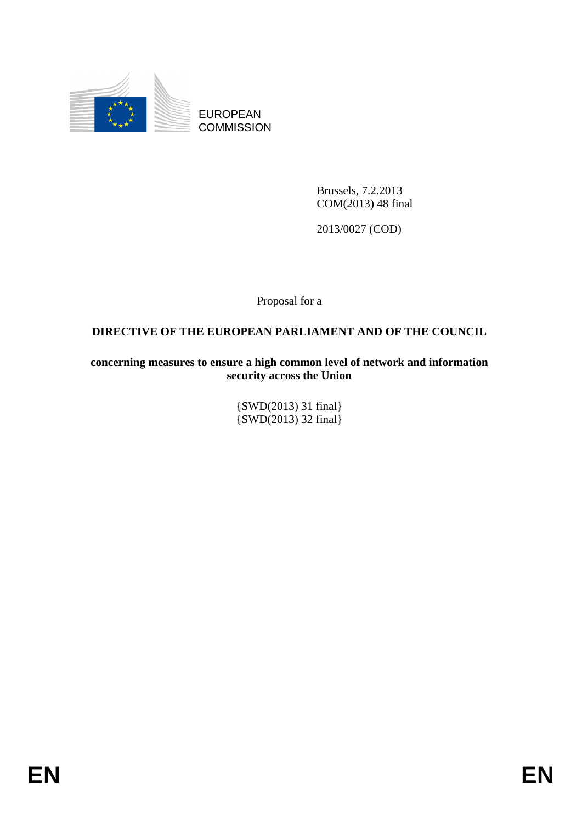

EUROPEAN **COMMISSION** 

> Brussels, 7.2.2013 COM(2013) 48 final

2013/0027 (COD)

Proposal for a

## **DIRECTIVE OF THE EUROPEAN PARLIAMENT AND OF THE COUNCIL**

**concerning measures to ensure a high common level of network and information security across the Union** 

> {SWD(2013) 31 final} {SWD(2013) 32 final}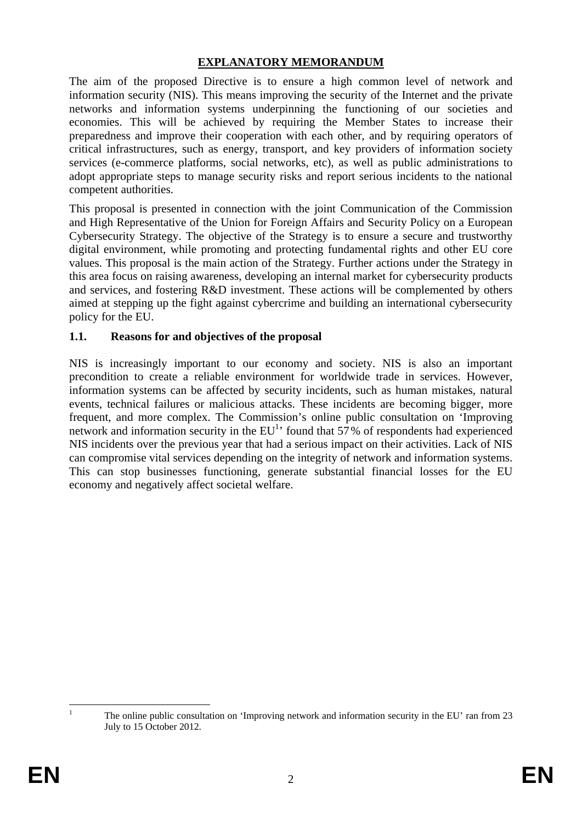### **EXPLANATORY MEMORANDUM**

The aim of the proposed Directive is to ensure a high common level of network and information security (NIS). This means improving the security of the Internet and the private networks and information systems underpinning the functioning of our societies and economies. This will be achieved by requiring the Member States to increase their preparedness and improve their cooperation with each other, and by requiring operators of critical infrastructures, such as energy, transport, and key providers of information society services (e-commerce platforms, social networks, etc), as well as public administrations to adopt appropriate steps to manage security risks and report serious incidents to the national competent authorities.

This proposal is presented in connection with the joint Communication of the Commission and High Representative of the Union for Foreign Affairs and Security Policy on a European Cybersecurity Strategy. The objective of the Strategy is to ensure a secure and trustworthy digital environment, while promoting and protecting fundamental rights and other EU core values. This proposal is the main action of the Strategy. Further actions under the Strategy in this area focus on raising awareness, developing an internal market for cybersecurity products and services, and fostering R&D investment. These actions will be complemented by others aimed at stepping up the fight against cybercrime and building an international cybersecurity policy for the EU.

### **1.1. Reasons for and objectives of the proposal**

NIS is increasingly important to our economy and society. NIS is also an important precondition to create a reliable environment for worldwide trade in services. However, information systems can be affected by security incidents, such as human mistakes, natural events, technical failures or malicious attacks. These incidents are becoming bigger, more frequent, and more complex. The Commission's online public consultation on 'Improving network and information security in the  $EU<sup>1</sup>$  found that 57% of respondents had experienced NIS incidents over the previous year that had a serious impact on their activities. Lack of NIS can compromise vital services depending on the integrity of network and information systems. This can stop businesses functioning, generate substantial financial losses for the EU economy and negatively affect societal welfare.

 $\frac{1}{1}$ 

The online public consultation on 'Improving network and information security in the EU' ran from 23 July to 15 October 2012.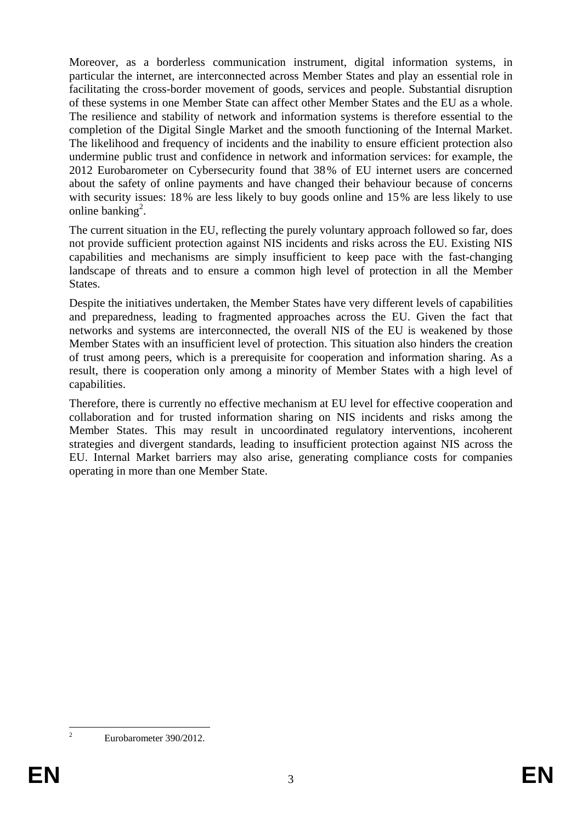Moreover, as a borderless communication instrument, digital information systems, in particular the internet, are interconnected across Member States and play an essential role in facilitating the cross-border movement of goods, services and people. Substantial disruption of these systems in one Member State can affect other Member States and the EU as a whole. The resilience and stability of network and information systems is therefore essential to the completion of the Digital Single Market and the smooth functioning of the Internal Market. The likelihood and frequency of incidents and the inability to ensure efficient protection also undermine public trust and confidence in network and information services: for example, the 2012 Eurobarometer on Cybersecurity found that 38% of EU internet users are concerned about the safety of online payments and have changed their behaviour because of concerns with security issues: 18% are less likely to buy goods online and 15% are less likely to use online banking<sup>2</sup>.

The current situation in the EU, reflecting the purely voluntary approach followed so far, does not provide sufficient protection against NIS incidents and risks across the EU. Existing NIS capabilities and mechanisms are simply insufficient to keep pace with the fast-changing landscape of threats and to ensure a common high level of protection in all the Member States.

Despite the initiatives undertaken, the Member States have very different levels of capabilities and preparedness, leading to fragmented approaches across the EU. Given the fact that networks and systems are interconnected, the overall NIS of the EU is weakened by those Member States with an insufficient level of protection. This situation also hinders the creation of trust among peers, which is a prerequisite for cooperation and information sharing. As a result, there is cooperation only among a minority of Member States with a high level of capabilities.

Therefore, there is currently no effective mechanism at EU level for effective cooperation and collaboration and for trusted information sharing on NIS incidents and risks among the Member States. This may result in uncoordinated regulatory interventions, incoherent strategies and divergent standards, leading to insufficient protection against NIS across the EU. Internal Market barriers may also arise, generating compliance costs for companies operating in more than one Member State.

 $\frac{1}{2}$ 

Eurobarometer 390/2012.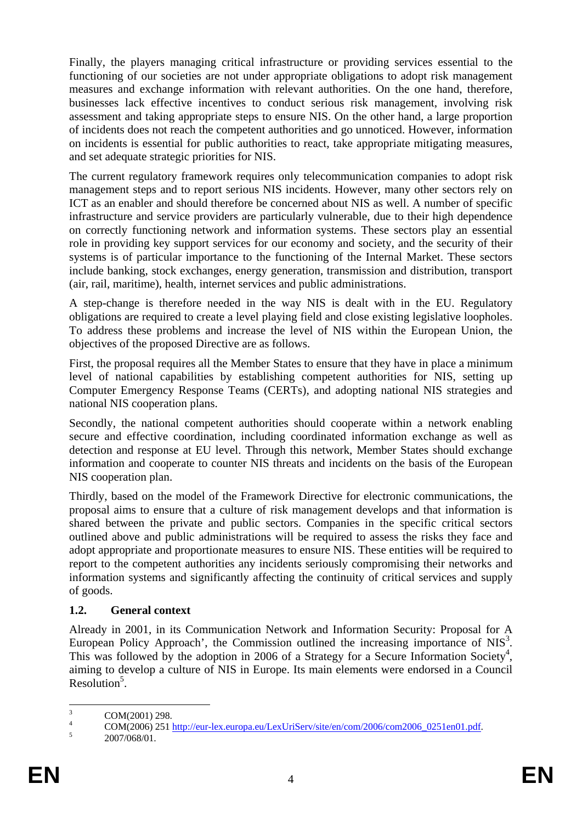Finally, the players managing critical infrastructure or providing services essential to the functioning of our societies are not under appropriate obligations to adopt risk management measures and exchange information with relevant authorities. On the one hand, therefore, businesses lack effective incentives to conduct serious risk management, involving risk assessment and taking appropriate steps to ensure NIS. On the other hand, a large proportion of incidents does not reach the competent authorities and go unnoticed. However, information on incidents is essential for public authorities to react, take appropriate mitigating measures, and set adequate strategic priorities for NIS.

The current regulatory framework requires only telecommunication companies to adopt risk management steps and to report serious NIS incidents. However, many other sectors rely on ICT as an enabler and should therefore be concerned about NIS as well. A number of specific infrastructure and service providers are particularly vulnerable, due to their high dependence on correctly functioning network and information systems. These sectors play an essential role in providing key support services for our economy and society, and the security of their systems is of particular importance to the functioning of the Internal Market. These sectors include banking, stock exchanges, energy generation, transmission and distribution, transport (air, rail, maritime), health, internet services and public administrations.

A step-change is therefore needed in the way NIS is dealt with in the EU. Regulatory obligations are required to create a level playing field and close existing legislative loopholes. To address these problems and increase the level of NIS within the European Union, the objectives of the proposed Directive are as follows.

First, the proposal requires all the Member States to ensure that they have in place a minimum level of national capabilities by establishing competent authorities for NIS, setting up Computer Emergency Response Teams (CERTs), and adopting national NIS strategies and national NIS cooperation plans.

Secondly, the national competent authorities should cooperate within a network enabling secure and effective coordination, including coordinated information exchange as well as detection and response at EU level. Through this network, Member States should exchange information and cooperate to counter NIS threats and incidents on the basis of the European NIS cooperation plan.

Thirdly, based on the model of the Framework Directive for electronic communications, the proposal aims to ensure that a culture of risk management develops and that information is shared between the private and public sectors. Companies in the specific critical sectors outlined above and public administrations will be required to assess the risks they face and adopt appropriate and proportionate measures to ensure NIS. These entities will be required to report to the competent authorities any incidents seriously compromising their networks and information systems and significantly affecting the continuity of critical services and supply of goods.

## **1.2. General context**

Already in 2001, in its Communication Network and Information Security: Proposal for A European Policy Approach', the Commission outlined the increasing importance of  $NIS<sup>3</sup>$ . This was followed by the adoption in 2006 of a Strategy for a Secure Information Society<sup>4</sup>, aiming to develop a culture of NIS in Europe. Its main elements were endorsed in a Council Resolution<sup>5</sup>.

 $\frac{1}{3}$ COM(2001) 298.

<sup>4</sup>  $\frac{4}{5}$  COM(2006) 251 <u>http://eur-lex.europa.eu/LexUriServ/site/en/com/2006/com2006\_0251en01.pdf</u>.

 <sup>2007/068/01.</sup>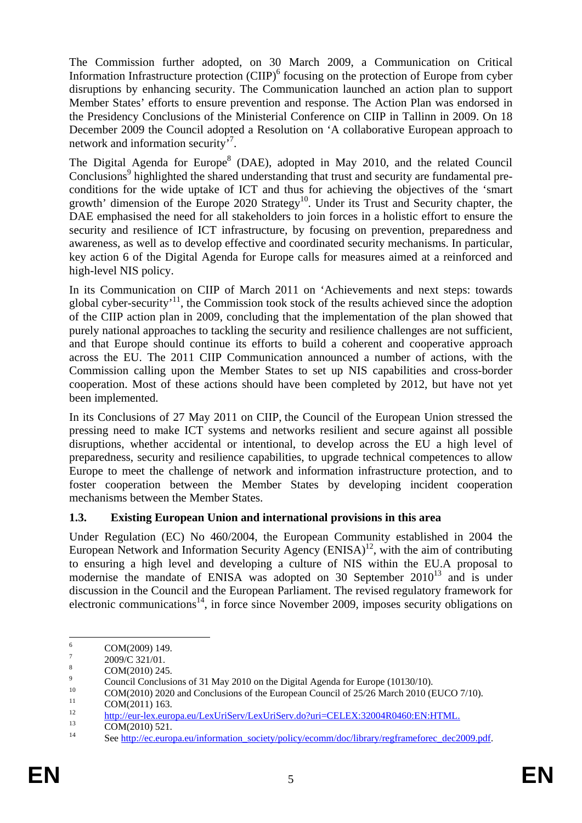The Commission further adopted, on 30 March 2009, a Communication on Critical Information Infrastructure protection (CIIP)<sup>6</sup> focusing on the protection of Europe from cyber disruptions by enhancing security. The Communication launched an action plan to support Member States' efforts to ensure prevention and response. The Action Plan was endorsed in the Presidency Conclusions of the Ministerial Conference on CIIP in Tallinn in 2009. On 18 December 2009 the Council adopted a Resolution on 'A collaborative European approach to network and information security<sup>7</sup>.

The Digital Agenda for Europe<sup>8</sup> (DAE), adopted in May 2010, and the related Council Conclusions<sup>9</sup> highlighted the shared understanding that trust and security are fundamental preconditions for the wide uptake of ICT and thus for achieving the objectives of the 'smart growth' dimension of the Europe 2020 Strategy<sup>10</sup>. Under its Trust and Security chapter, the DAE emphasised the need for all stakeholders to join forces in a holistic effort to ensure the security and resilience of ICT infrastructure, by focusing on prevention, preparedness and awareness, as well as to develop effective and coordinated security mechanisms. In particular, key action 6 of the Digital Agenda for Europe calls for measures aimed at a reinforced and high-level NIS policy.

In its Communication on CIIP of March 2011 on 'Achievements and next steps: towards global cyber-security'11, the Commission took stock of the results achieved since the adoption of the CIIP action plan in 2009, concluding that the implementation of the plan showed that purely national approaches to tackling the security and resilience challenges are not sufficient, and that Europe should continue its efforts to build a coherent and cooperative approach across the EU. The 2011 CIIP Communication announced a number of actions, with the Commission calling upon the Member States to set up NIS capabilities and cross-border cooperation. Most of these actions should have been completed by 2012, but have not yet been implemented.

In its Conclusions of 27 May 2011 on CIIP, the Council of the European Union stressed the pressing need to make ICT systems and networks resilient and secure against all possible disruptions, whether accidental or intentional, to develop across the EU a high level of preparedness, security and resilience capabilities, to upgrade technical competences to allow Europe to meet the challenge of network and information infrastructure protection, and to foster cooperation between the Member States by developing incident cooperation mechanisms between the Member States.

## **1.3. Existing European Union and international provisions in this area**

Under Regulation (EC) No 460/2004, the European Community established in 2004 the European Network and Information Security Agency  $(ENISA)^{12}$ , with the aim of contributing to ensuring a high level and developing a culture of NIS within the EU.A proposal to modernise the mandate of ENISA was adopted on 30 September  $2010^{13}$  and is under discussion in the Council and the European Parliament. The revised regulatory framework for electronic communications<sup>14</sup>, in force since November 2009, imposes security obligations on

 $\frac{1}{6}$ COM(2009) 149.

<sup>7</sup> 2009/C 321/01.

<sup>8</sup> COM(2010) 245.

<sup>9</sup> <sup>9</sup><br>Council Conclusions of 31 May 2010 on the Digital Agenda for Europe (10130/10).

<sup>&</sup>lt;sup>10</sup> COM(2010) 2020 and Conclusions of the European Council of 25/26 March 2010 (EUCO 7/10).

 $\frac{11}{12}$  COM(2011) 163.

 $\frac{\text{http://eur-lex.europa.eu/LexUriServ/LexUriServ.do?uri=CELEX:32004R0460:EN:HTML. \n}{\text{COM}(2010) 521.}$  $\frac{\text{http://eur-lex.europa.eu/LexUriServ/LexUriServ.do?uri=CELEX:32004R0460:EN:HTML. \n}{\text{COM}(2010) 521.}$  $\frac{\text{http://eur-lex.europa.eu/LexUriServ/LexUriServ.do?uri=CELEX:32004R0460:EN:HTML. \n}{\text{COM}(2010) 521.}$ 

See http://ec.europa.eu/information\_society/policy/ecomm/doc/library/regframeforec\_dec2009.pdf.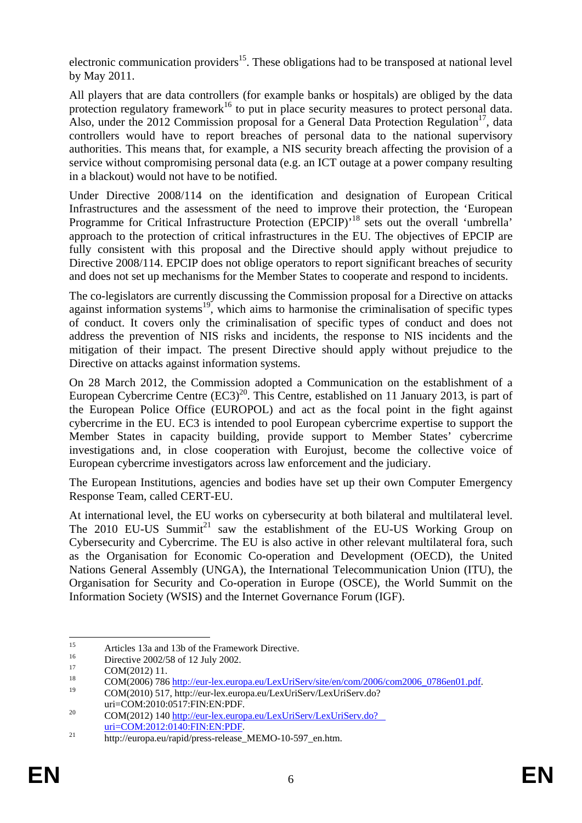electronic communication providers<sup>15</sup>. These obligations had to be transposed at national level by May 2011.

All players that are data controllers (for example banks or hospitals) are obliged by the data protection regulatory framework<sup>16</sup> to put in place security measures to protect personal data. Also, under the 2012 Commission proposal for a General Data Protection Regulation<sup>17</sup>, data controllers would have to report breaches of personal data to the national supervisory authorities. This means that, for example, a NIS security breach affecting the provision of a service without compromising personal data (e.g. an ICT outage at a power company resulting in a blackout) would not have to be notified.

Under Directive 2008/114 on the identification and designation of European Critical Infrastructures and the assessment of the need to improve their protection, the 'European Programme for Critical Infrastructure Protection (EPCIP)<sup>18</sup> sets out the overall 'umbrella' approach to the protection of critical infrastructures in the EU. The objectives of EPCIP are fully consistent with this proposal and the Directive should apply without prejudice to Directive 2008/114. EPCIP does not oblige operators to report significant breaches of security and does not set up mechanisms for the Member States to cooperate and respond to incidents.

The co-legislators are currently discussing the Commission proposal for a Directive on attacks against information systems<sup>19</sup>, which aims to harmonise the criminalisation of specific types of conduct. It covers only the criminalisation of specific types of conduct and does not address the prevention of NIS risks and incidents, the response to NIS incidents and the mitigation of their impact. The present Directive should apply without prejudice to the Directive on attacks against information systems.

On 28 March 2012, the Commission adopted a Communication on the establishment of a European Cybercrime Centre  $(EC3)^{20}$ . This Centre, established on 11 January 2013, is part of the European Police Office (EUROPOL) and act as the focal point in the fight against cybercrime in the EU. EC3 is intended to pool European cybercrime expertise to support the Member States in capacity building, provide support to Member States' cybercrime investigations and, in close cooperation with Eurojust, become the collective voice of European cybercrime investigators across law enforcement and the judiciary.

The European Institutions, agencies and bodies have set up their own Computer Emergency Response Team, called CERT-EU.

At international level, the EU works on cybersecurity at both bilateral and multilateral level. The 2010 EU-US Summit<sup>21</sup> saw the establishment of the EU-US Working Group on Cybersecurity and Cybercrime. The EU is also active in other relevant multilateral fora, such as the Organisation for Economic Co-operation and Development (OECD), the United Nations General Assembly (UNGA), the International Telecommunication Union (ITU), the Organisation for Security and Co-operation in Europe (OSCE), the World Summit on the Information Society (WSIS) and the Internet Governance Forum (IGF).

 $15$ <sup>15</sup><br>Articles 13a and 13b of the Framework Directive.<br>
Directive.<br>
Directive.<br>
Directive.<br>
Directive.

<sup>&</sup>lt;sup>16</sup> Directive 2002/58 of 12 July 2002.

 $\frac{17}{18}$  COM(2012) 11.

<sup>&</sup>lt;sup>18</sup> COM(2006) 786 <u>http://eur-lex.europa.eu/LexUriServ/site/en/com/2006/com2006\_0786en01.pdf.</u><br><sup>19</sup> COM(2010) 51[7, http://eur-lex.europa.eu/LexUriServ/LexUriSe](http://eur-lex.europa.eu/LexUriServ/site/en/com/2006/com2006_0786en01.pdf)rv.do?

uri=COM:2010:0517:FIN:EN:PDF.<br><sup>20</sup> COM(2012) 140 http://eur-lex.europa.eu/LexUriServ/LexUriServ.do?

uri=COM:2012:0140:FIN:EN:PDF.<br> [http://europa.eu/rapid/press-release\\_](http://eur-lex.europa.eu/LexUriServ/LexUriServ.do?uri=COM:2012:0140:FIN:EN:PDF)MEMO-10-597\_en.htm.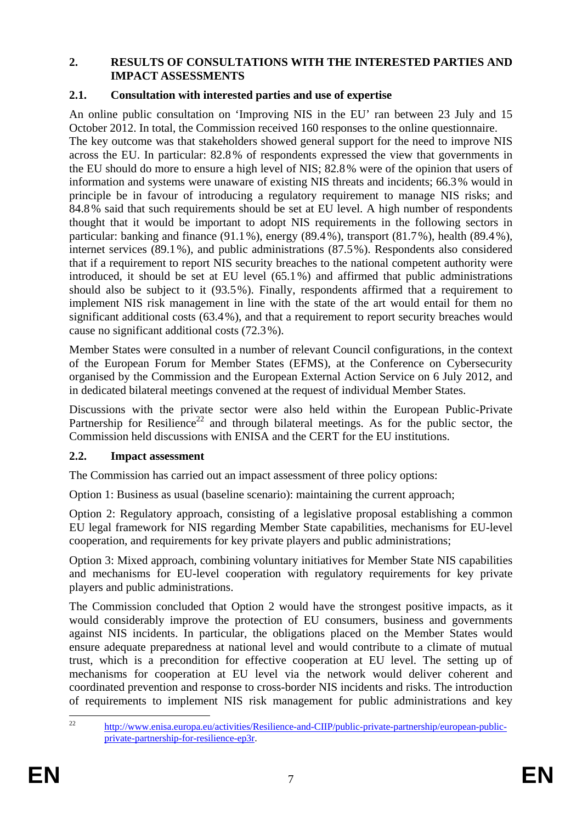### **2. RESULTS OF CONSULTATIONS WITH THE INTERESTED PARTIES AND IMPACT ASSESSMENTS**

### **2.1. Consultation with interested parties and use of expertise**

An online public consultation on 'Improving NIS in the EU' ran between 23 July and 15 October 2012. In total, the Commission received 160 responses to the online questionnaire. The key outcome was that stakeholders showed general support for the need to improve NIS across the EU. In particular: 82.8% of respondents expressed the view that governments in the EU should do more to ensure a high level of NIS; 82.8% were of the opinion that users of information and systems were unaware of existing NIS threats and incidents; 66.3% would in principle be in favour of introducing a regulatory requirement to manage NIS risks; and 84.8% said that such requirements should be set at EU level. A high number of respondents thought that it would be important to adopt NIS requirements in the following sectors in particular: banking and finance (91.1%), energy (89.4%), transport (81.7%), health (89.4%), internet services (89.1%), and public administrations (87.5%). Respondents also considered that if a requirement to report NIS security breaches to the national competent authority were introduced, it should be set at EU level (65.1%) and affirmed that public administrations should also be subject to it (93.5%). Finally, respondents affirmed that a requirement to implement NIS risk management in line with the state of the art would entail for them no significant additional costs (63.4%), and that a requirement to report security breaches would cause no significant additional costs (72.3%).

Member States were consulted in a number of relevant Council configurations, in the context of the European Forum for Member States (EFMS), at the Conference on Cybersecurity organised by the Commission and the European External Action Service on 6 July 2012, and in dedicated bilateral meetings convened at the request of individual Member States.

Discussions with the private sector were also held within the European Public-Private Partnership for Resilience<sup>22</sup> and through bilateral meetings. As for the public sector, the Commission held discussions with ENISA and the CERT for the EU institutions.

## **2.2. Impact assessment**

The Commission has carried out an impact assessment of three policy options:

Option 1: Business as usual (baseline scenario): maintaining the current approach;

Option 2: Regulatory approach, consisting of a legislative proposal establishing a common EU legal framework for NIS regarding Member State capabilities, mechanisms for EU-level cooperation, and requirements for key private players and public administrations;

Option 3: Mixed approach, combining voluntary initiatives for Member State NIS capabilities and mechanisms for EU-level cooperation with regulatory requirements for key private players and public administrations.

The Commission concluded that Option 2 would have the strongest positive impacts, as it would considerably improve the protection of EU consumers, business and governments against NIS incidents. In particular, the obligations placed on the Member States would ensure adequate preparedness at national level and would contribute to a climate of mutual trust, which is a precondition for effective cooperation at EU level. The setting up of mechanisms for cooperation at EU level via the network would deliver coherent and coordinated prevention and response to cross-border NIS incidents and risks. The introduction of requirements to implement NIS risk management for public administrations and key

 $\overline{22}$ http://www.enisa<u>.europa.eu/activities/Resilience-and-CIIP/public-private-partnership/european-public-</u> [private-partnership-for-resilience-ep3r.](http://www.enisa.europa.eu/activities/Resilience-and-CIIP/public-private-partnership/european-public-private-partnership-for-resilience-ep3r)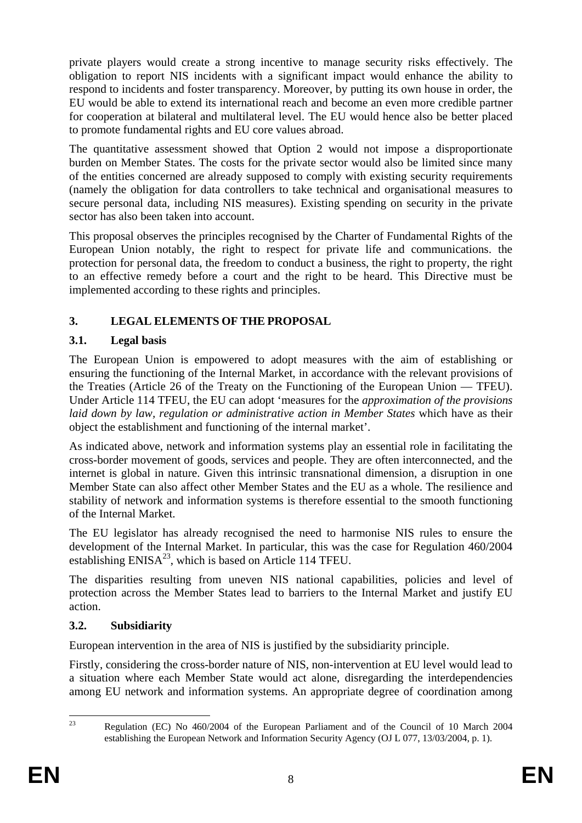private players would create a strong incentive to manage security risks effectively. The obligation to report NIS incidents with a significant impact would enhance the ability to respond to incidents and foster transparency. Moreover, by putting its own house in order, the EU would be able to extend its international reach and become an even more credible partner for cooperation at bilateral and multilateral level. The EU would hence also be better placed to promote fundamental rights and EU core values abroad.

The quantitative assessment showed that Option 2 would not impose a disproportionate burden on Member States. The costs for the private sector would also be limited since many of the entities concerned are already supposed to comply with existing security requirements (namely the obligation for data controllers to take technical and organisational measures to secure personal data, including NIS measures). Existing spending on security in the private sector has also been taken into account.

This proposal observes the principles recognised by the Charter of Fundamental Rights of the European Union notably, the right to respect for private life and communications. the protection for personal data, the freedom to conduct a business, the right to property, the right to an effective remedy before a court and the right to be heard. This Directive must be implemented according to these rights and principles.

# **3. LEGAL ELEMENTS OF THE PROPOSAL**

## **3.1. Legal basis**

The European Union is empowered to adopt measures with the aim of establishing or ensuring the functioning of the Internal Market, in accordance with the relevant provisions of the Treaties (Article 26 of the Treaty on the Functioning of the European Union — TFEU). Under Article 114 TFEU, the EU can adopt 'measures for the *approximation of the provisions*  laid down by law, regulation or administrative action in Member States which have as their object the establishment and functioning of the internal market'.

As indicated above, network and information systems play an essential role in facilitating the cross-border movement of goods, services and people. They are often interconnected, and the internet is global in nature. Given this intrinsic transnational dimension, a disruption in one Member State can also affect other Member States and the EU as a whole. The resilience and stability of network and information systems is therefore essential to the smooth functioning of the Internal Market.

The EU legislator has already recognised the need to harmonise NIS rules to ensure the development of the Internal Market. In particular, this was the case for Regulation 460/2004 establishing  $ENISA^{23}$ , which is based on Article 114 TFEU.

The disparities resulting from uneven NIS national capabilities, policies and level of protection across the Member States lead to barriers to the Internal Market and justify EU action.

## **3.2. Subsidiarity**

European intervention in the area of NIS is justified by the subsidiarity principle.

Firstly, considering the cross-border nature of NIS, non-intervention at EU level would lead to a situation where each Member State would act alone, disregarding the interdependencies among EU network and information systems. An appropriate degree of coordination among

 $2<sup>2</sup>$ 23 Regulation (EC) No 460/2004 of the European Parliament and of the Council of 10 March 2004 establishing the European Network and Information Security Agency (OJ L 077, 13/03/2004, p. 1).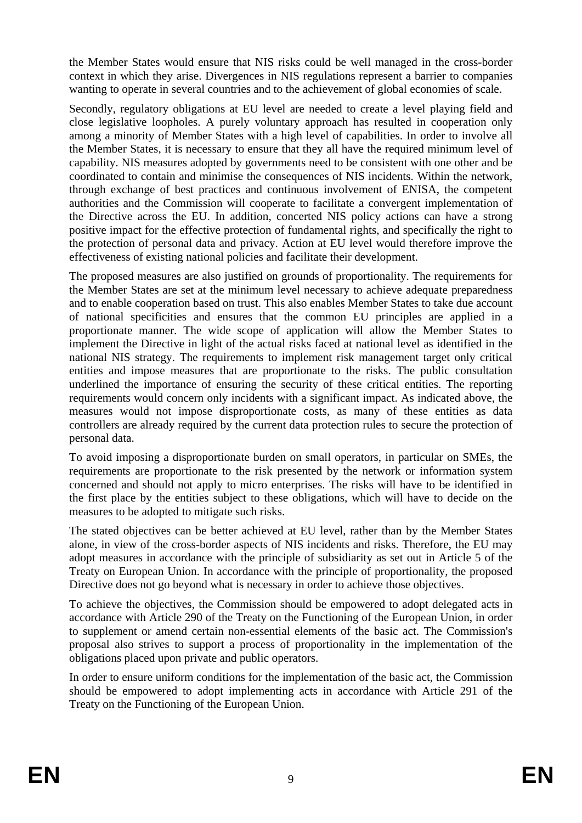the Member States would ensure that NIS risks could be well managed in the cross-border context in which they arise. Divergences in NIS regulations represent a barrier to companies wanting to operate in several countries and to the achievement of global economies of scale.

Secondly, regulatory obligations at EU level are needed to create a level playing field and close legislative loopholes. A purely voluntary approach has resulted in cooperation only among a minority of Member States with a high level of capabilities. In order to involve all the Member States, it is necessary to ensure that they all have the required minimum level of capability. NIS measures adopted by governments need to be consistent with one other and be coordinated to contain and minimise the consequences of NIS incidents. Within the network, through exchange of best practices and continuous involvement of ENISA, the competent authorities and the Commission will cooperate to facilitate a convergent implementation of the Directive across the EU. In addition, concerted NIS policy actions can have a strong positive impact for the effective protection of fundamental rights, and specifically the right to the protection of personal data and privacy. Action at EU level would therefore improve the effectiveness of existing national policies and facilitate their development.

The proposed measures are also justified on grounds of proportionality. The requirements for the Member States are set at the minimum level necessary to achieve adequate preparedness and to enable cooperation based on trust. This also enables Member States to take due account of national specificities and ensures that the common EU principles are applied in a proportionate manner. The wide scope of application will allow the Member States to implement the Directive in light of the actual risks faced at national level as identified in the national NIS strategy. The requirements to implement risk management target only critical entities and impose measures that are proportionate to the risks. The public consultation underlined the importance of ensuring the security of these critical entities. The reporting requirements would concern only incidents with a significant impact. As indicated above, the measures would not impose disproportionate costs, as many of these entities as data controllers are already required by the current data protection rules to secure the protection of personal data.

To avoid imposing a disproportionate burden on small operators, in particular on SMEs, the requirements are proportionate to the risk presented by the network or information system concerned and should not apply to micro enterprises. The risks will have to be identified in the first place by the entities subject to these obligations, which will have to decide on the measures to be adopted to mitigate such risks.

The stated objectives can be better achieved at EU level, rather than by the Member States alone, in view of the cross-border aspects of NIS incidents and risks. Therefore, the EU may adopt measures in accordance with the principle of subsidiarity as set out in Article 5 of the Treaty on European Union. In accordance with the principle of proportionality, the proposed Directive does not go beyond what is necessary in order to achieve those objectives.

To achieve the objectives, the Commission should be empowered to adopt delegated acts in accordance with Article 290 of the Treaty on the Functioning of the European Union, in order to supplement or amend certain non-essential elements of the basic act. The Commission's proposal also strives to support a process of proportionality in the implementation of the obligations placed upon private and public operators.

In order to ensure uniform conditions for the implementation of the basic act, the Commission should be empowered to adopt implementing acts in accordance with Article 291 of the Treaty on the Functioning of the European Union.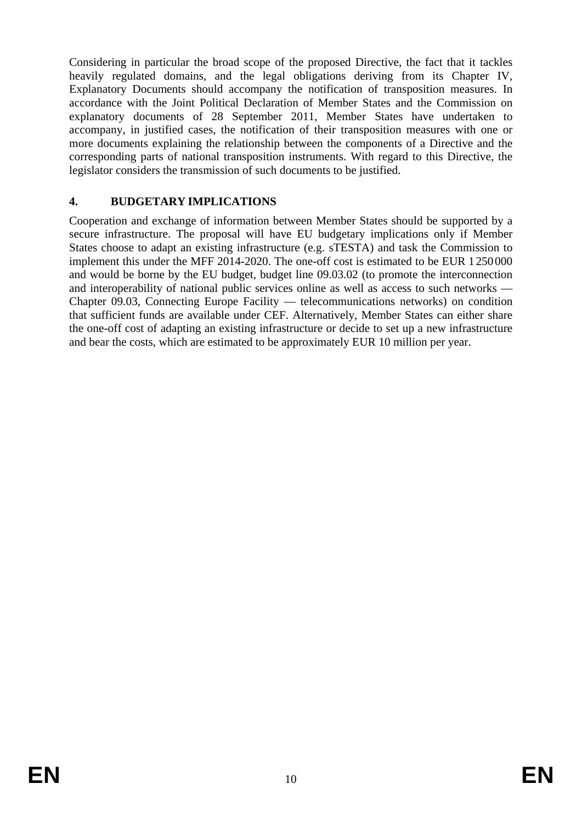Considering in particular the broad scope of the proposed Directive, the fact that it tackles heavily regulated domains, and the legal obligations deriving from its Chapter IV, Explanatory Documents should accompany the notification of transposition measures. In accordance with the Joint Political Declaration of Member States and the Commission on explanatory documents of 28 September 2011, Member States have undertaken to accompany, in justified cases, the notification of their transposition measures with one or more documents explaining the relationship between the components of a Directive and the corresponding parts of national transposition instruments. With regard to this Directive, the legislator considers the transmission of such documents to be justified.

## **4. BUDGETARY IMPLICATIONS**

Cooperation and exchange of information between Member States should be supported by a secure infrastructure. The proposal will have EU budgetary implications only if Member States choose to adapt an existing infrastructure (e.g. sTESTA) and task the Commission to implement this under the MFF 2014-2020. The one-off cost is estimated to be EUR 1250000 and would be borne by the EU budget, budget line 09.03.02 (to promote the interconnection and interoperability of national public services online as well as access to such networks — Chapter 09.03, Connecting Europe Facility — telecommunications networks) on condition that sufficient funds are available under CEF. Alternatively, Member States can either share the one-off cost of adapting an existing infrastructure or decide to set up a new infrastructure and bear the costs, which are estimated to be approximately EUR 10 million per year.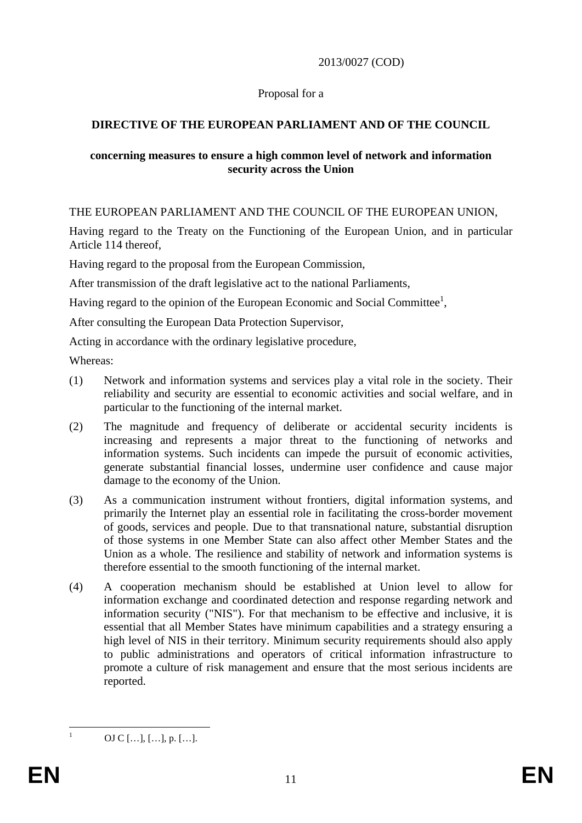### 2013/0027 (COD)

### Proposal for a

## **DIRECTIVE OF THE EUROPEAN PARLIAMENT AND OF THE COUNCIL**

### **concerning measures to ensure a high common level of network and information security across the Union**

THE EUROPEAN PARLIAMENT AND THE COUNCIL OF THE EUROPEAN UNION,

Having regard to the Treaty on the Functioning of the European Union, and in particular Article 114 thereof,

Having regard to the proposal from the European Commission,

After transmission of the draft legislative act to the national Parliaments,

Having regard to the opinion of the European Economic and Social Committee<sup>1</sup>,

After consulting the European Data Protection Supervisor,

Acting in accordance with the ordinary legislative procedure,

Whereas:

- (1) Network and information systems and services play a vital role in the society. Their reliability and security are essential to economic activities and social welfare, and in particular to the functioning of the internal market.
- (2) The magnitude and frequency of deliberate or accidental security incidents is increasing and represents a major threat to the functioning of networks and information systems. Such incidents can impede the pursuit of economic activities, generate substantial financial losses, undermine user confidence and cause major damage to the economy of the Union.
- (3) As a communication instrument without frontiers, digital information systems, and primarily the Internet play an essential role in facilitating the cross-border movement of goods, services and people. Due to that transnational nature, substantial disruption of those systems in one Member State can also affect other Member States and the Union as a whole. The resilience and stability of network and information systems is therefore essential to the smooth functioning of the internal market.
- (4) A cooperation mechanism should be established at Union level to allow for information exchange and coordinated detection and response regarding network and information security ("NIS"). For that mechanism to be effective and inclusive, it is essential that all Member States have minimum capabilities and a strategy ensuring a high level of NIS in their territory. Minimum security requirements should also apply to public administrations and operators of critical information infrastructure to promote a culture of risk management and ensure that the most serious incidents are reported.

 $\frac{1}{1}$ 

OJ C […], […], p. […].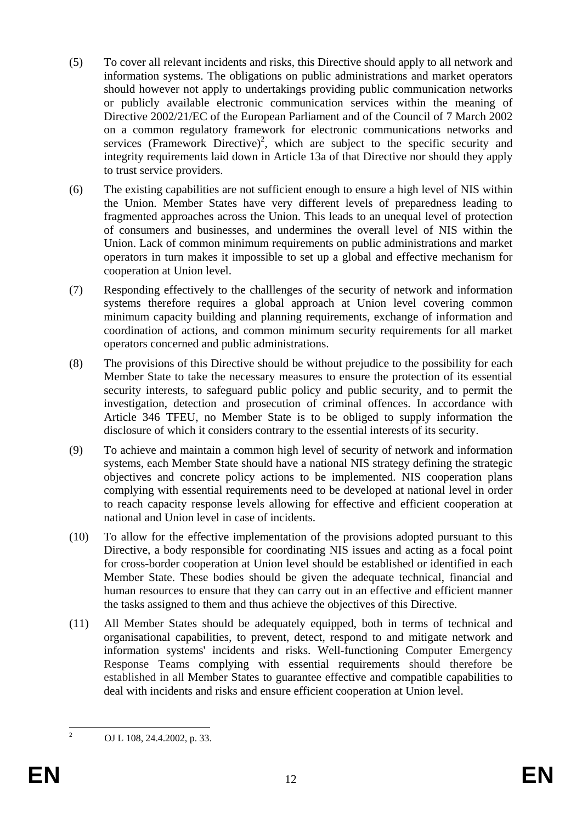- (5) To cover all relevant incidents and risks, this Directive should apply to all network and information systems. The obligations on public administrations and market operators should however not apply to undertakings providing public communication networks or publicly available electronic communication services within the meaning of Directive 2002/21/EC of the European Parliament and of the Council of 7 March 2002 on a common regulatory framework for electronic communications networks and services (Framework Directive)<sup>2</sup>, which are subject to the specific security and integrity requirements laid down in Article 13a of that Directive nor should they apply to trust service providers.
- (6) The existing capabilities are not sufficient enough to ensure a high level of NIS within the Union. Member States have very different levels of preparedness leading to fragmented approaches across the Union. This leads to an unequal level of protection of consumers and businesses, and undermines the overall level of NIS within the Union. Lack of common minimum requirements on public administrations and market operators in turn makes it impossible to set up a global and effective mechanism for cooperation at Union level.
- (7) Responding effectively to the challlenges of the security of network and information systems therefore requires a global approach at Union level covering common minimum capacity building and planning requirements, exchange of information and coordination of actions, and common minimum security requirements for all market operators concerned and public administrations.
- (8) The provisions of this Directive should be without prejudice to the possibility for each Member State to take the necessary measures to ensure the protection of its essential security interests, to safeguard public policy and public security, and to permit the investigation, detection and prosecution of criminal offences. In accordance with Article 346 TFEU, no Member State is to be obliged to supply information the disclosure of which it considers contrary to the essential interests of its security.
- (9) To achieve and maintain a common high level of security of network and information systems, each Member State should have a national NIS strategy defining the strategic objectives and concrete policy actions to be implemented. NIS cooperation plans complying with essential requirements need to be developed at national level in order to reach capacity response levels allowing for effective and efficient cooperation at national and Union level in case of incidents.
- (10) To allow for the effective implementation of the provisions adopted pursuant to this Directive, a body responsible for coordinating NIS issues and acting as a focal point for cross-border cooperation at Union level should be established or identified in each Member State. These bodies should be given the adequate technical, financial and human resources to ensure that they can carry out in an effective and efficient manner the tasks assigned to them and thus achieve the objectives of this Directive.
- (11) All Member States should be adequately equipped, both in terms of technical and organisational capabilities, to prevent, detect, respond to and mitigate network and information systems' incidents and risks. Well-functioning Computer Emergency Response Teams complying with essential requirements should therefore be established in all Member States to guarantee effective and compatible capabilities to deal with incidents and risks and ensure efficient cooperation at Union level.

 $\frac{1}{2}$ 

OJ L 108, 24.4.2002, p. 33.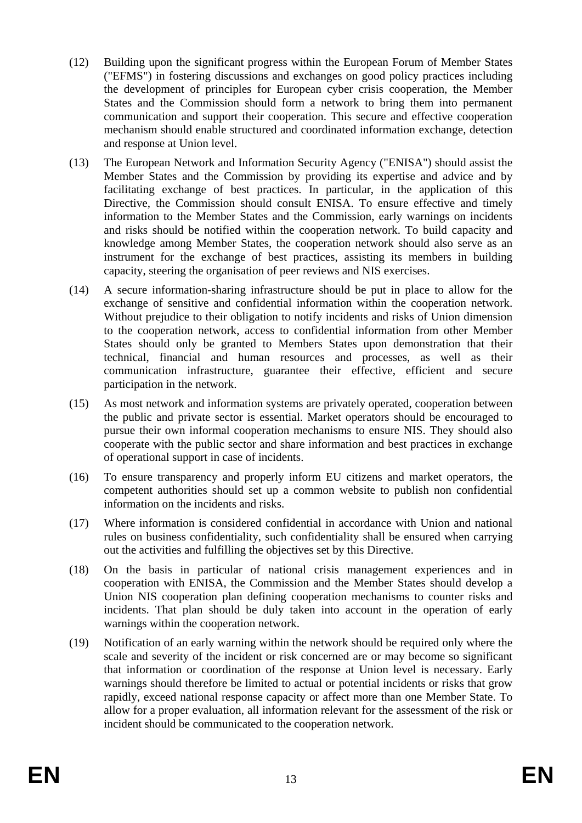- (12) Building upon the significant progress within the European Forum of Member States ("EFMS") in fostering discussions and exchanges on good policy practices including the development of principles for European cyber crisis cooperation, the Member States and the Commission should form a network to bring them into permanent communication and support their cooperation. This secure and effective cooperation mechanism should enable structured and coordinated information exchange, detection and response at Union level.
- (13) The European Network and Information Security Agency ("ENISA") should assist the Member States and the Commission by providing its expertise and advice and by facilitating exchange of best practices. In particular, in the application of this Directive, the Commission should consult ENISA. To ensure effective and timely information to the Member States and the Commission, early warnings on incidents and risks should be notified within the cooperation network. To build capacity and knowledge among Member States, the cooperation network should also serve as an instrument for the exchange of best practices, assisting its members in building capacity, steering the organisation of peer reviews and NIS exercises.
- (14) A secure information-sharing infrastructure should be put in place to allow for the exchange of sensitive and confidential information within the cooperation network. Without prejudice to their obligation to notify incidents and risks of Union dimension to the cooperation network, access to confidential information from other Member States should only be granted to Members States upon demonstration that their technical, financial and human resources and processes, as well as their communication infrastructure, guarantee their effective, efficient and secure participation in the network.
- (15) As most network and information systems are privately operated, cooperation between the public and private sector is essential. Market operators should be encouraged to pursue their own informal cooperation mechanisms to ensure NIS. They should also cooperate with the public sector and share information and best practices in exchange of operational support in case of incidents.
- (16) To ensure transparency and properly inform EU citizens and market operators, the competent authorities should set up a common website to publish non confidential information on the incidents and risks.
- (17) Where information is considered confidential in accordance with Union and national rules on business confidentiality, such confidentiality shall be ensured when carrying out the activities and fulfilling the objectives set by this Directive.
- (18) On the basis in particular of national crisis management experiences and in cooperation with ENISA, the Commission and the Member States should develop a Union NIS cooperation plan defining cooperation mechanisms to counter risks and incidents. That plan should be duly taken into account in the operation of early warnings within the cooperation network.
- (19) Notification of an early warning within the network should be required only where the scale and severity of the incident or risk concerned are or may become so significant that information or coordination of the response at Union level is necessary. Early warnings should therefore be limited to actual or potential incidents or risks that grow rapidly, exceed national response capacity or affect more than one Member State. To allow for a proper evaluation, all information relevant for the assessment of the risk or incident should be communicated to the cooperation network.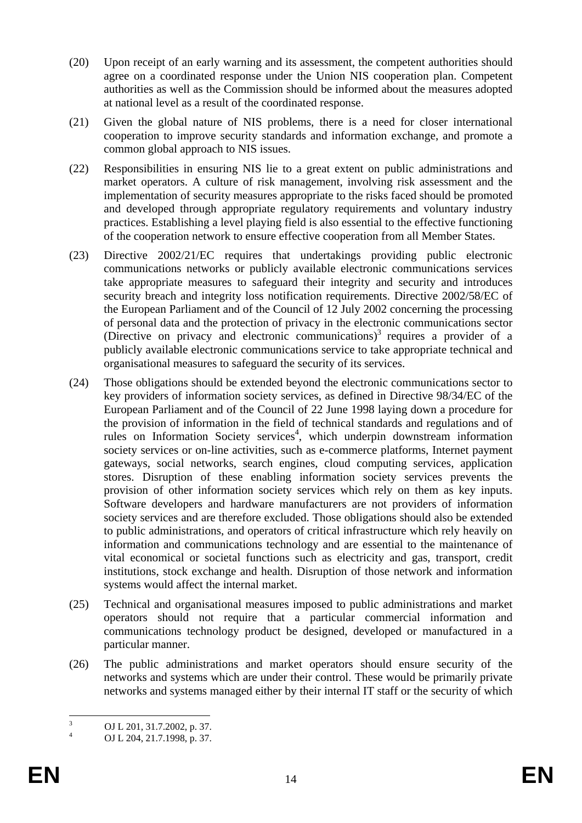- (20) Upon receipt of an early warning and its assessment, the competent authorities should agree on a coordinated response under the Union NIS cooperation plan. Competent authorities as well as the Commission should be informed about the measures adopted at national level as a result of the coordinated response.
- (21) Given the global nature of NIS problems, there is a need for closer international cooperation to improve security standards and information exchange, and promote a common global approach to NIS issues.
- (22) Responsibilities in ensuring NIS lie to a great extent on public administrations and market operators. A culture of risk management, involving risk assessment and the implementation of security measures appropriate to the risks faced should be promoted and developed through appropriate regulatory requirements and voluntary industry practices. Establishing a level playing field is also essential to the effective functioning of the cooperation network to ensure effective cooperation from all Member States.
- (23) Directive 2002/21/EC requires that undertakings providing public electronic communications networks or publicly available electronic communications services take appropriate measures to safeguard their integrity and security and introduces security breach and integrity loss notification requirements. Directive 2002/58/EC of the European Parliament and of the Council of 12 July 2002 concerning the processing of personal data and the protection of privacy in the electronic communications sector (Directive on privacy and electronic communications)<sup>3</sup> requires a provider of a publicly available electronic communications service to take appropriate technical and organisational measures to safeguard the security of its services.
- (24) Those obligations should be extended beyond the electronic communications sector to key providers of information society services, as defined in Directive 98/34/EC of the European Parliament and of the Council of 22 June 1998 laying down a procedure for the provision of information in the field of technical standards and regulations and of rules on Information Society services<sup>4</sup>, which underpin downstream information society services or on-line activities, such as e-commerce platforms, Internet payment gateways, social networks, search engines, cloud computing services, application stores. Disruption of these enabling information society services prevents the provision of other information society services which rely on them as key inputs. Software developers and hardware manufacturers are not providers of information society services and are therefore excluded. Those obligations should also be extended to public administrations, and operators of critical infrastructure which rely heavily on information and communications technology and are essential to the maintenance of vital economical or societal functions such as electricity and gas, transport, credit institutions, stock exchange and health. Disruption of those network and information systems would affect the internal market.
- (25) Technical and organisational measures imposed to public administrations and market operators should not require that a particular commercial information and communications technology product be designed, developed or manufactured in a particular manner.
- (26) The public administrations and market operators should ensure security of the networks and systems which are under their control. These would be primarily private networks and systems managed either by their internal IT staff or the security of which

 $\frac{1}{3}$ OJ L 201, 31.7.2002, p. 37.

<sup>4</sup> OJ L 204, 21.7.1998, p. 37.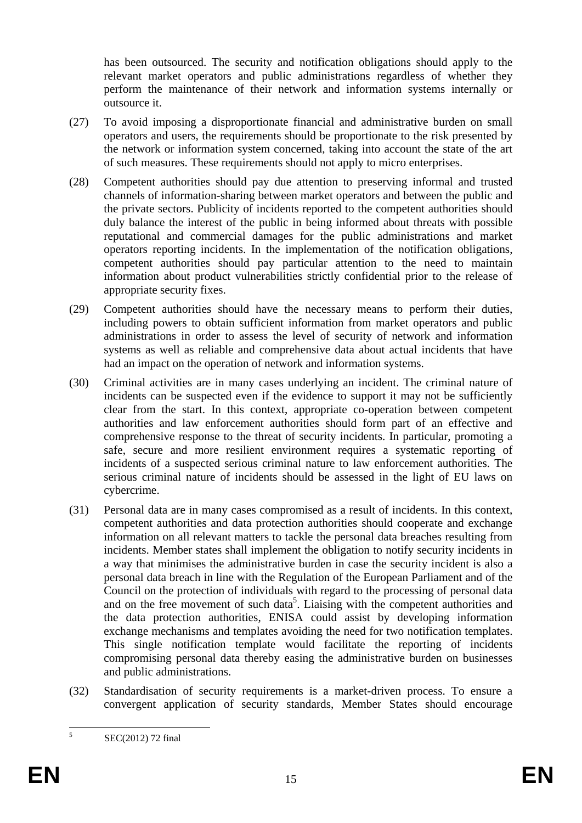has been outsourced. The security and notification obligations should apply to the relevant market operators and public administrations regardless of whether they perform the maintenance of their network and information systems internally or outsource it.

- (27) To avoid imposing a disproportionate financial and administrative burden on small operators and users, the requirements should be proportionate to the risk presented by the network or information system concerned, taking into account the state of the art of such measures. These requirements should not apply to micro enterprises.
- (28) Competent authorities should pay due attention to preserving informal and trusted channels of information-sharing between market operators and between the public and the private sectors. Publicity of incidents reported to the competent authorities should duly balance the interest of the public in being informed about threats with possible reputational and commercial damages for the public administrations and market operators reporting incidents. In the implementation of the notification obligations, competent authorities should pay particular attention to the need to maintain information about product vulnerabilities strictly confidential prior to the release of appropriate security fixes.
- (29) Competent authorities should have the necessary means to perform their duties, including powers to obtain sufficient information from market operators and public administrations in order to assess the level of security of network and information systems as well as reliable and comprehensive data about actual incidents that have had an impact on the operation of network and information systems.
- (30) Criminal activities are in many cases underlying an incident. The criminal nature of incidents can be suspected even if the evidence to support it may not be sufficiently clear from the start. In this context, appropriate co-operation between competent authorities and law enforcement authorities should form part of an effective and comprehensive response to the threat of security incidents. In particular, promoting a safe, secure and more resilient environment requires a systematic reporting of incidents of a suspected serious criminal nature to law enforcement authorities. The serious criminal nature of incidents should be assessed in the light of EU laws on cybercrime.
- (31) Personal data are in many cases compromised as a result of incidents. In this context, competent authorities and data protection authorities should cooperate and exchange information on all relevant matters to tackle the personal data breaches resulting from incidents. Member states shall implement the obligation to notify security incidents in a way that minimises the administrative burden in case the security incident is also a personal data breach in line with the Regulation of the European Parliament and of the Council on the protection of individuals with regard to the processing of personal data and on the free movement of such data<sup>5</sup>. Liaising with the competent authorities and the data protection authorities, ENISA could assist by developing information exchange mechanisms and templates avoiding the need for two notification templates. This single notification template would facilitate the reporting of incidents compromising personal data thereby easing the administrative burden on businesses and public administrations.
- (32) Standardisation of security requirements is a market-driven process. To ensure a convergent application of security standards, Member States should encourage

 $\frac{1}{5}$ 

SEC(2012) 72 final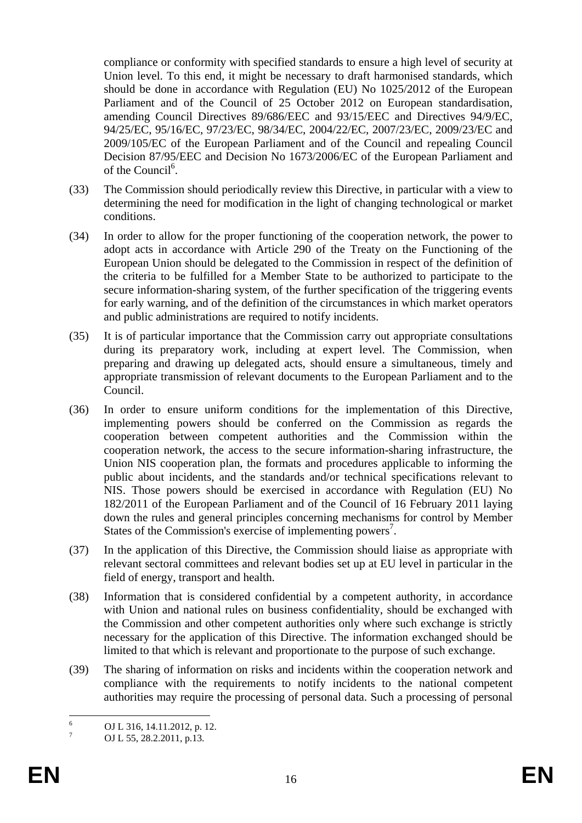compliance or conformity with specified standards to ensure a high level of security at Union level. To this end, it might be necessary to draft harmonised standards, which should be done in accordance with Regulation (EU) No 1025/2012 of the European Parliament and of the Council of 25 October 2012 on European standardisation, amending Council Directives 89/686/EEC and 93/15/EEC and Directives 94/9/EC, 94/25/EC, 95/16/EC, 97/23/EC, 98/34/EC, 2004/22/EC, 2007/23/EC, 2009/23/EC and 2009/105/EC of the European Parliament and of the Council and repealing Council Decision 87/95/EEC and Decision No 1673/2006/EC of the European Parliament and of the Council<sup>6</sup>.

- (33) The Commission should periodically review this Directive, in particular with a view to determining the need for modification in the light of changing technological or market conditions.
- (34) In order to allow for the proper functioning of the cooperation network, the power to adopt acts in accordance with Article 290 of the Treaty on the Functioning of the European Union should be delegated to the Commission in respect of the definition of the criteria to be fulfilled for a Member State to be authorized to participate to the secure information-sharing system, of the further specification of the triggering events for early warning, and of the definition of the circumstances in which market operators and public administrations are required to notify incidents.
- (35) It is of particular importance that the Commission carry out appropriate consultations during its preparatory work, including at expert level. The Commission, when preparing and drawing up delegated acts, should ensure a simultaneous, timely and appropriate transmission of relevant documents to the European Parliament and to the Council.
- (36) In order to ensure uniform conditions for the implementation of this Directive, implementing powers should be conferred on the Commission as regards the cooperation between competent authorities and the Commission within the cooperation network, the access to the secure information-sharing infrastructure, the Union NIS cooperation plan, the formats and procedures applicable to informing the public about incidents, and the standards and/or technical specifications relevant to NIS. Those powers should be exercised in accordance with Regulation (EU) No 182/2011 of the European Parliament and of the Council of 16 February 2011 laying down the rules and general principles concerning mechanisms for control by Member States of the Commission's exercise of implementing powers<sup>7</sup>.
- (37) In the application of this Directive, the Commission should liaise as appropriate with relevant sectoral committees and relevant bodies set up at EU level in particular in the field of energy, transport and health.
- (38) Information that is considered confidential by a competent authority, in accordance with Union and national rules on business confidentiality, should be exchanged with the Commission and other competent authorities only where such exchange is strictly necessary for the application of this Directive. The information exchanged should be limited to that which is relevant and proportionate to the purpose of such exchange.
- (39) The sharing of information on risks and incidents within the cooperation network and compliance with the requirements to notify incidents to the national competent authorities may require the processing of personal data. Such a processing of personal

 $\frac{1}{6}$ OJ L 316, 14.11.2012, p. 12.

<sup>7</sup> OJ L 55, 28.2.2011, p.13.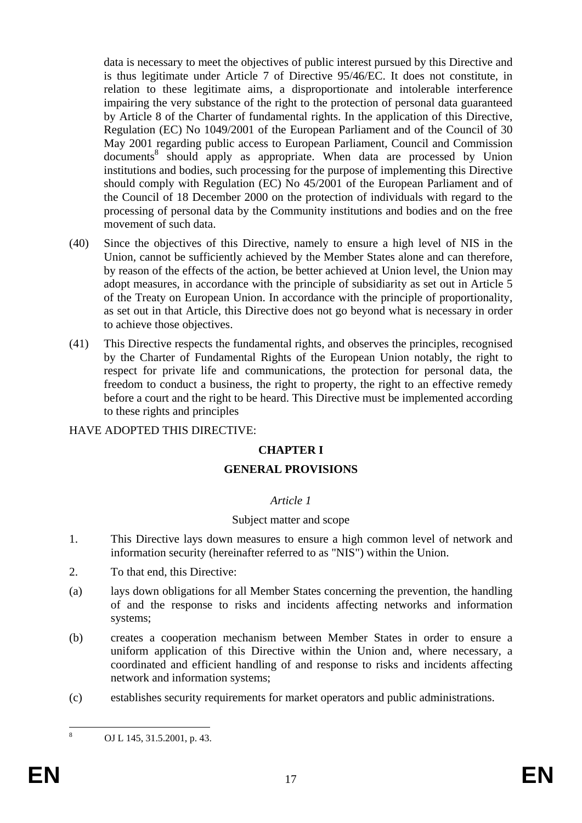data is necessary to meet the objectives of public interest pursued by this Directive and is thus legitimate under Article 7 of Directive 95/46/EC. It does not constitute, in relation to these legitimate aims, a disproportionate and intolerable interference impairing the very substance of the right to the protection of personal data guaranteed by Article 8 of the Charter of fundamental rights. In the application of this Directive, Regulation (EC) No 1049/2001 of the European Parliament and of the Council of 30 May 2001 regarding public access to European Parliament, Council and Commission documents<sup>8</sup> should apply as appropriate. When data are processed by Union institutions and bodies, such processing for the purpose of implementing this Directive should comply with Regulation (EC) No 45/2001 of the European Parliament and of the Council of 18 December 2000 on the protection of individuals with regard to the processing of personal data by the Community institutions and bodies and on the free movement of such data.

- (40) Since the objectives of this Directive, namely to ensure a high level of NIS in the Union, cannot be sufficiently achieved by the Member States alone and can therefore, by reason of the effects of the action, be better achieved at Union level, the Union may adopt measures, in accordance with the principle of subsidiarity as set out in Article 5 of the Treaty on European Union. In accordance with the principle of proportionality, as set out in that Article, this Directive does not go beyond what is necessary in order to achieve those objectives.
- (41) This Directive respects the fundamental rights, and observes the principles, recognised by the Charter of Fundamental Rights of the European Union notably, the right to respect for private life and communications, the protection for personal data, the freedom to conduct a business, the right to property, the right to an effective remedy before a court and the right to be heard. This Directive must be implemented according to these rights and principles

## HAVE ADOPTED THIS DIRECTIVE:

## **CHAPTER I**

### **GENERAL PROVISIONS**

### *Article 1*

### Subject matter and scope

- 1. This Directive lays down measures to ensure a high common level of network and information security (hereinafter referred to as "NIS") within the Union.
- 2. To that end, this Directive:
- (a) lays down obligations for all Member States concerning the prevention, the handling of and the response to risks and incidents affecting networks and information systems;
- (b) creates a cooperation mechanism between Member States in order to ensure a uniform application of this Directive within the Union and, where necessary, a coordinated and efficient handling of and response to risks and incidents affecting network and information systems;
- (c) establishes security requirements for market operators and public administrations.

 $\frac{1}{8}$ 

OJ L 145, 31.5.2001, p. 43.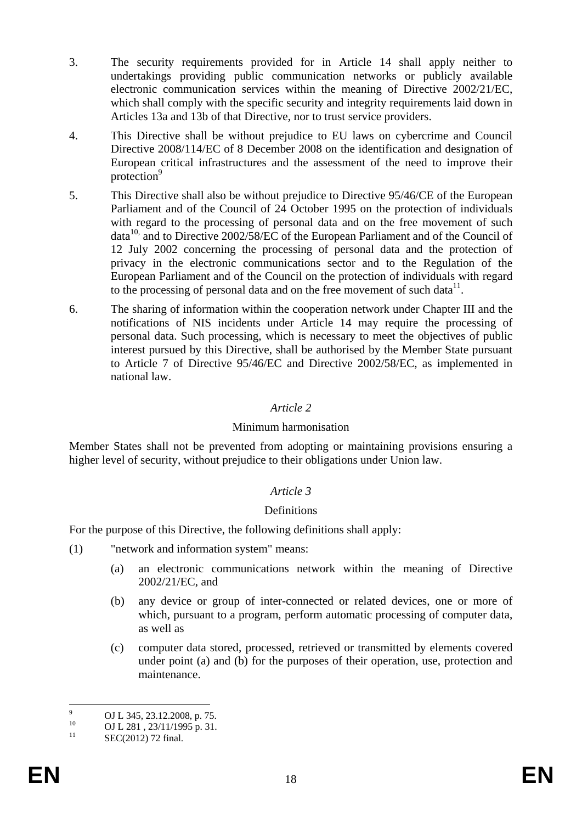- 3. The security requirements provided for in Article 14 shall apply neither to undertakings providing public communication networks or publicly available electronic communication services within the meaning of Directive 2002/21/EC, which shall comply with the specific security and integrity requirements laid down in Articles 13a and 13b of that Directive, nor to trust service providers.
- 4. This Directive shall be without prejudice to EU laws on cybercrime and Council Directive 2008/114/EC of 8 December 2008 on the identification and designation of European critical infrastructures and the assessment of the need to improve their protection<sup>9</sup>
- 5. This Directive shall also be without prejudice to Directive 95/46/CE of the European Parliament and of the Council of 24 October 1995 on the protection of individuals with regard to the processing of personal data and on the free movement of such  $data^{10}$ , and to Directive 2002/58/EC of the European Parliament and of the Council of 12 July 2002 concerning the processing of personal data and the protection of privacy in the electronic communications sector and to the Regulation of the European Parliament and of the Council on the protection of individuals with regard to the processing of personal data and on the free movement of such data $^{11}$ .
- 6. The sharing of information within the cooperation network under Chapter III and the notifications of NIS incidents under Article 14 may require the processing of personal data. Such processing, which is necessary to meet the objectives of public interest pursued by this Directive, shall be authorised by the Member State pursuant to Article 7 of Directive 95/46/EC and Directive 2002/58/EC, as implemented in national law.

### *Article 2*

### Minimum harmonisation

Member States shall not be prevented from adopting or maintaining provisions ensuring a higher level of security, without prejudice to their obligations under Union law.

### *Article 3*

### Definitions

For the purpose of this Directive, the following definitions shall apply:

- (1) "network and information system" means:
	- (a) an electronic communications network within the meaning of Directive 2002/21/EC, and
	- (b) any device or group of inter-connected or related devices, one or more of which, pursuant to a program, perform automatic processing of computer data, as well as
	- (c) computer data stored, processed, retrieved or transmitted by elements covered under point (a) and (b) for the purposes of their operation, use, protection and maintenance.

<sup>-&</sup>lt;br>9 <sup>9</sup> OJ L 345, 23.12.2008, p. 75.

<sup>&</sup>lt;sup>10</sup> OJ L 281, 23/11/1995 p. 31.

SEC(2012) 72 final.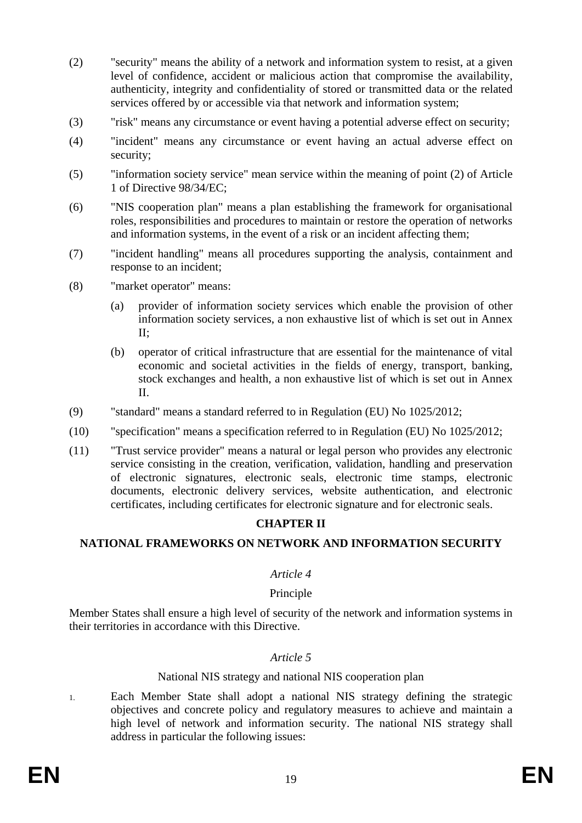- (2) "security" means the ability of a network and information system to resist, at a given level of confidence, accident or malicious action that compromise the availability, authenticity, integrity and confidentiality of stored or transmitted data or the related services offered by or accessible via that network and information system;
- (3) "risk" means any circumstance or event having a potential adverse effect on security;
- (4) "incident" means any circumstance or event having an actual adverse effect on security;
- (5) "information society service" mean service within the meaning of point (2) of Article 1 of Directive 98/34/EC;
- (6) "NIS cooperation plan" means a plan establishing the framework for organisational roles, responsibilities and procedures to maintain or restore the operation of networks and information systems, in the event of a risk or an incident affecting them;
- (7) "incident handling" means all procedures supporting the analysis, containment and response to an incident;
- (8) "market operator" means:
	- (a) provider of information society services which enable the provision of other information society services, a non exhaustive list of which is set out in Annex II;
	- (b) operator of critical infrastructure that are essential for the maintenance of vital economic and societal activities in the fields of energy, transport, banking, stock exchanges and health, a non exhaustive list of which is set out in Annex II.
- (9) "standard" means a standard referred to in Regulation (EU) No 1025/2012;
- (10) "specification" means a specification referred to in Regulation (EU) No 1025/2012;
- (11) "Trust service provider" means a natural or legal person who provides any electronic service consisting in the creation, verification, validation, handling and preservation of electronic signatures, electronic seals, electronic time stamps, electronic documents, electronic delivery services, website authentication, and electronic certificates, including certificates for electronic signature and for electronic seals.

## **CHAPTER II**

## **NATIONAL FRAMEWORKS ON NETWORK AND INFORMATION SECURITY**

### *Article 4*

### Principle

Member States shall ensure a high level of security of the network and information systems in their territories in accordance with this Directive.

### *Article 5*

#### National NIS strategy and national NIS cooperation plan

1. Each Member State shall adopt a national NIS strategy defining the strategic objectives and concrete policy and regulatory measures to achieve and maintain a high level of network and information security. The national NIS strategy shall address in particular the following issues: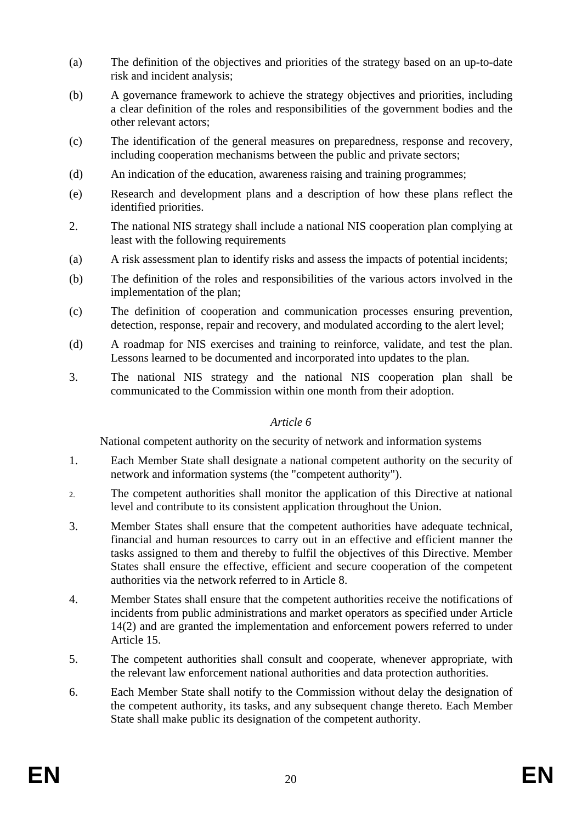- (a) The definition of the objectives and priorities of the strategy based on an up-to-date risk and incident analysis;
- (b) A governance framework to achieve the strategy objectives and priorities, including a clear definition of the roles and responsibilities of the government bodies and the other relevant actors;
- (c) The identification of the general measures on preparedness, response and recovery, including cooperation mechanisms between the public and private sectors;
- (d) An indication of the education, awareness raising and training programmes;
- (e) Research and development plans and a description of how these plans reflect the identified priorities.
- 2. The national NIS strategy shall include a national NIS cooperation plan complying at least with the following requirements
- (a) A risk assessment plan to identify risks and assess the impacts of potential incidents;
- (b) The definition of the roles and responsibilities of the various actors involved in the implementation of the plan;
- (c) The definition of cooperation and communication processes ensuring prevention, detection, response, repair and recovery, and modulated according to the alert level;
- (d) A roadmap for NIS exercises and training to reinforce, validate, and test the plan. Lessons learned to be documented and incorporated into updates to the plan.
- 3. The national NIS strategy and the national NIS cooperation plan shall be communicated to the Commission within one month from their adoption.

## *Article 6*

National competent authority on the security of network and information systems

- 1. Each Member State shall designate a national competent authority on the security of network and information systems (the "competent authority").
- 2. The competent authorities shall monitor the application of this Directive at national level and contribute to its consistent application throughout the Union.
- 3. Member States shall ensure that the competent authorities have adequate technical, financial and human resources to carry out in an effective and efficient manner the tasks assigned to them and thereby to fulfil the objectives of this Directive. Member States shall ensure the effective, efficient and secure cooperation of the competent authorities via the network referred to in Article 8.
- 4. Member States shall ensure that the competent authorities receive the notifications of incidents from public administrations and market operators as specified under Article 14(2) and are granted the implementation and enforcement powers referred to under Article 15.
- 5. The competent authorities shall consult and cooperate, whenever appropriate, with the relevant law enforcement national authorities and data protection authorities.
- 6. Each Member State shall notify to the Commission without delay the designation of the competent authority, its tasks, and any subsequent change thereto. Each Member State shall make public its designation of the competent authority.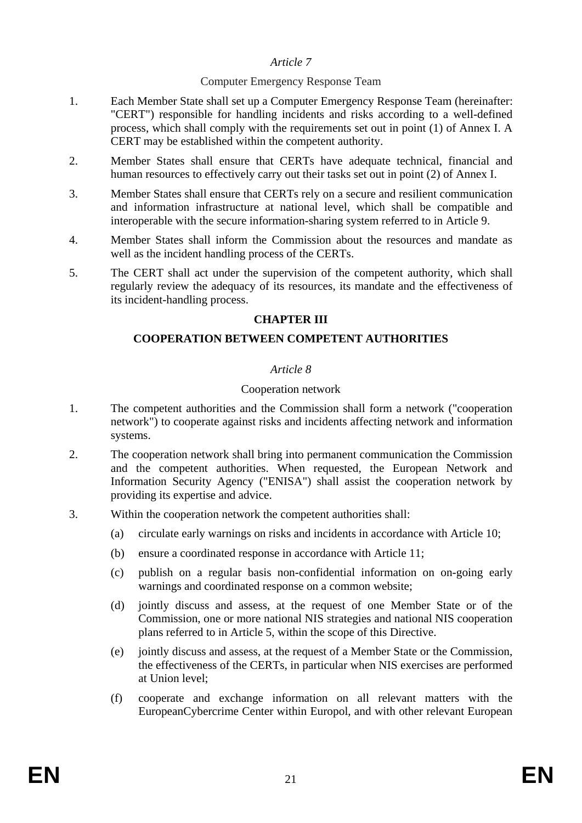### *Article 7*

### Computer Emergency Response Team

- 1. Each Member State shall set up a Computer Emergency Response Team (hereinafter: "CERT") responsible for handling incidents and risks according to a well-defined process, which shall comply with the requirements set out in point (1) of Annex I. A CERT may be established within the competent authority.
- 2. Member States shall ensure that CERTs have adequate technical, financial and human resources to effectively carry out their tasks set out in point (2) of Annex I.
- 3. Member States shall ensure that CERTs rely on a secure and resilient communication and information infrastructure at national level, which shall be compatible and interoperable with the secure information-sharing system referred to in Article 9.
- 4. Member States shall inform the Commission about the resources and mandate as well as the incident handling process of the CERTs.
- 5. The CERT shall act under the supervision of the competent authority, which shall regularly review the adequacy of its resources, its mandate and the effectiveness of its incident-handling process.

### **CHAPTER III**

### **COOPERATION BETWEEN COMPETENT AUTHORITIES**

### *Article 8*

### Cooperation network

- 1. The competent authorities and the Commission shall form a network ("cooperation network") to cooperate against risks and incidents affecting network and information systems.
- 2. The cooperation network shall bring into permanent communication the Commission and the competent authorities. When requested, the European Network and Information Security Agency ("ENISA") shall assist the cooperation network by providing its expertise and advice.
- 3. Within the cooperation network the competent authorities shall:
	- (a) circulate early warnings on risks and incidents in accordance with Article 10;
	- (b) ensure a coordinated response in accordance with Article 11;
	- (c) publish on a regular basis non-confidential information on on-going early warnings and coordinated response on a common website;
	- (d) jointly discuss and assess, at the request of one Member State or of the Commission, one or more national NIS strategies and national NIS cooperation plans referred to in Article 5, within the scope of this Directive.
	- (e) jointly discuss and assess, at the request of a Member State or the Commission, the effectiveness of the CERTs, in particular when NIS exercises are performed at Union level;
	- (f) cooperate and exchange information on all relevant matters with the EuropeanCybercrime Center within Europol, and with other relevant European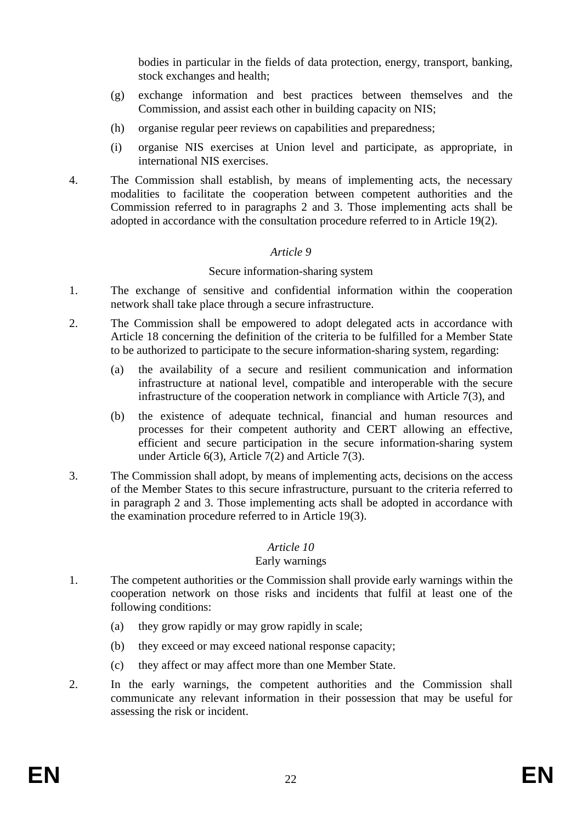bodies in particular in the fields of data protection, energy, transport, banking, stock exchanges and health;

- (g) exchange information and best practices between themselves and the Commission, and assist each other in building capacity on NIS;
- (h) organise regular peer reviews on capabilities and preparedness;
- (i) organise NIS exercises at Union level and participate, as appropriate, in international NIS exercises.
- 4. The Commission shall establish, by means of implementing acts, the necessary modalities to facilitate the cooperation between competent authorities and the Commission referred to in paragraphs 2 and 3. Those implementing acts shall be adopted in accordance with the consultation procedure referred to in Article 19(2).

## *Article 9*

### Secure information-sharing system

- 1. The exchange of sensitive and confidential information within the cooperation network shall take place through a secure infrastructure.
- 2. The Commission shall be empowered to adopt delegated acts in accordance with Article 18 concerning the definition of the criteria to be fulfilled for a Member State to be authorized to participate to the secure information-sharing system, regarding:
	- (a) the availability of a secure and resilient communication and information infrastructure at national level, compatible and interoperable with the secure infrastructure of the cooperation network in compliance with Article 7(3), and
	- (b) the existence of adequate technical, financial and human resources and processes for their competent authority and CERT allowing an effective, efficient and secure participation in the secure information-sharing system under Article 6(3), Article 7(2) and Article 7(3).
- 3. The Commission shall adopt, by means of implementing acts, decisions on the access of the Member States to this secure infrastructure, pursuant to the criteria referred to in paragraph 2 and 3. Those implementing acts shall be adopted in accordance with the examination procedure referred to in Article 19(3).

## *Article 10*

### Early warnings

- 1. The competent authorities or the Commission shall provide early warnings within the cooperation network on those risks and incidents that fulfil at least one of the following conditions:
	- (a) they grow rapidly or may grow rapidly in scale;
	- (b) they exceed or may exceed national response capacity;
	- (c) they affect or may affect more than one Member State.
- 2. In the early warnings, the competent authorities and the Commission shall communicate any relevant information in their possession that may be useful for assessing the risk or incident.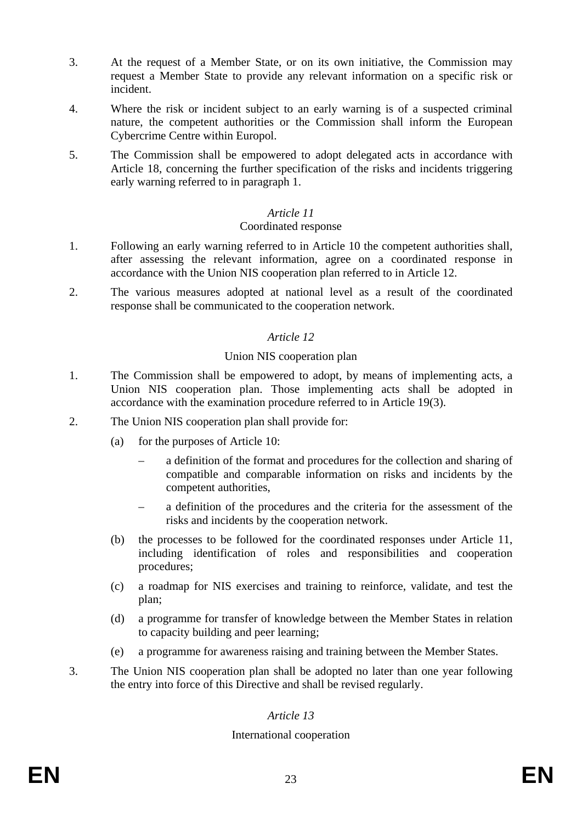- 3. At the request of a Member State, or on its own initiative, the Commission may request a Member State to provide any relevant information on a specific risk or incident.
- 4. Where the risk or incident subject to an early warning is of a suspected criminal nature, the competent authorities or the Commission shall inform the European Cybercrime Centre within Europol.
- 5. The Commission shall be empowered to adopt delegated acts in accordance with Article 18, concerning the further specification of the risks and incidents triggering early warning referred to in paragraph 1.

### *Article 11*

#### Coordinated response

- 1. Following an early warning referred to in Article 10 the competent authorities shall, after assessing the relevant information, agree on a coordinated response in accordance with the Union NIS cooperation plan referred to in Article 12.
- 2. The various measures adopted at national level as a result of the coordinated response shall be communicated to the cooperation network.

### *Article 12*

### Union NIS cooperation plan

- 1. The Commission shall be empowered to adopt, by means of implementing acts, a Union NIS cooperation plan. Those implementing acts shall be adopted in accordance with the examination procedure referred to in Article 19(3).
- 2. The Union NIS cooperation plan shall provide for:
	- (a) for the purposes of Article 10:
		- a definition of the format and procedures for the collection and sharing of compatible and comparable information on risks and incidents by the competent authorities,
		- a definition of the procedures and the criteria for the assessment of the risks and incidents by the cooperation network.
	- (b) the processes to be followed for the coordinated responses under Article 11, including identification of roles and responsibilities and cooperation procedures;
	- (c) a roadmap for NIS exercises and training to reinforce, validate, and test the plan;
	- (d) a programme for transfer of knowledge between the Member States in relation to capacity building and peer learning;
	- (e) a programme for awareness raising and training between the Member States.
- 3. The Union NIS cooperation plan shall be adopted no later than one year following the entry into force of this Directive and shall be revised regularly.

# *Article 13*

## International cooperation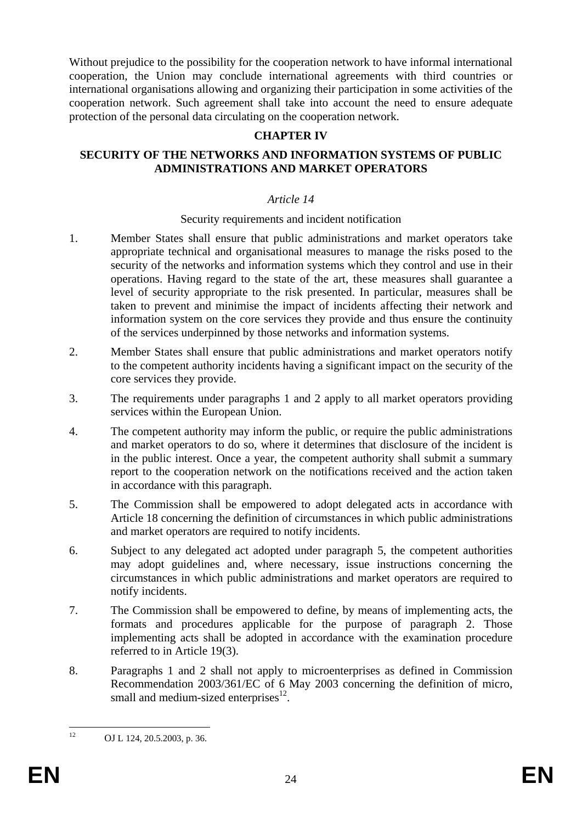Without prejudice to the possibility for the cooperation network to have informal international cooperation, the Union may conclude international agreements with third countries or international organisations allowing and organizing their participation in some activities of the cooperation network. Such agreement shall take into account the need to ensure adequate protection of the personal data circulating on the cooperation network.

### **CHAPTER IV**

### **SECURITY OF THE NETWORKS AND INFORMATION SYSTEMS OF PUBLIC ADMINISTRATIONS AND MARKET OPERATORS**

### *Article 14*

#### Security requirements and incident notification

- 1. Member States shall ensure that public administrations and market operators take appropriate technical and organisational measures to manage the risks posed to the security of the networks and information systems which they control and use in their operations. Having regard to the state of the art, these measures shall guarantee a level of security appropriate to the risk presented. In particular, measures shall be taken to prevent and minimise the impact of incidents affecting their network and information system on the core services they provide and thus ensure the continuity of the services underpinned by those networks and information systems.
- 2. Member States shall ensure that public administrations and market operators notify to the competent authority incidents having a significant impact on the security of the core services they provide.
- 3. The requirements under paragraphs 1 and 2 apply to all market operators providing services within the European Union.
- 4. The competent authority may inform the public, or require the public administrations and market operators to do so, where it determines that disclosure of the incident is in the public interest. Once a year, the competent authority shall submit a summary report to the cooperation network on the notifications received and the action taken in accordance with this paragraph.
- 5. The Commission shall be empowered to adopt delegated acts in accordance with Article 18 concerning the definition of circumstances in which public administrations and market operators are required to notify incidents.
- 6. Subject to any delegated act adopted under paragraph 5, the competent authorities may adopt guidelines and, where necessary, issue instructions concerning the circumstances in which public administrations and market operators are required to notify incidents.
- 7. The Commission shall be empowered to define, by means of implementing acts, the formats and procedures applicable for the purpose of paragraph 2. Those implementing acts shall be adopted in accordance with the examination procedure referred to in Article 19(3).
- 8. Paragraphs 1 and 2 shall not apply to microenterprises as defined in Commission Recommendation 2003/361/EC of 6 May 2003 concerning the definition of micro, small and medium-sized enterprises $^{12}$ .

 $12$ 

OJ L 124, 20.5.2003, p. 36.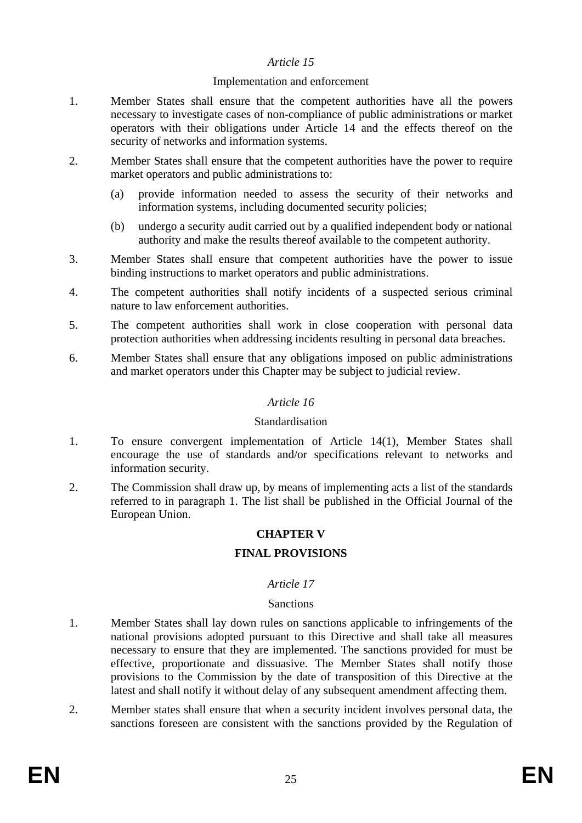### *Article 15*

#### Implementation and enforcement

- 1. Member States shall ensure that the competent authorities have all the powers necessary to investigate cases of non-compliance of public administrations or market operators with their obligations under Article 14 and the effects thereof on the security of networks and information systems.
- 2. Member States shall ensure that the competent authorities have the power to require market operators and public administrations to:
	- (a) provide information needed to assess the security of their networks and information systems, including documented security policies;
	- (b) undergo a security audit carried out by a qualified independent body or national authority and make the results thereof available to the competent authority.
- 3. Member States shall ensure that competent authorities have the power to issue binding instructions to market operators and public administrations.
- 4. The competent authorities shall notify incidents of a suspected serious criminal nature to law enforcement authorities.
- 5. The competent authorities shall work in close cooperation with personal data protection authorities when addressing incidents resulting in personal data breaches.
- 6. Member States shall ensure that any obligations imposed on public administrations and market operators under this Chapter may be subject to judicial review.

### *Article 16*

#### Standardisation

- 1. To ensure convergent implementation of Article 14(1), Member States shall encourage the use of standards and/or specifications relevant to networks and information security.
- 2. The Commission shall draw up, by means of implementing acts a list of the standards referred to in paragraph 1. The list shall be published in the Official Journal of the European Union.

## **CHAPTER V**

## **FINAL PROVISIONS**

### *Article 17*

### **Sanctions**

- 1. Member States shall lay down rules on sanctions applicable to infringements of the national provisions adopted pursuant to this Directive and shall take all measures necessary to ensure that they are implemented. The sanctions provided for must be effective, proportionate and dissuasive. The Member States shall notify those provisions to the Commission by the date of transposition of this Directive at the latest and shall notify it without delay of any subsequent amendment affecting them.
- 2. Member states shall ensure that when a security incident involves personal data, the sanctions foreseen are consistent with the sanctions provided by the Regulation of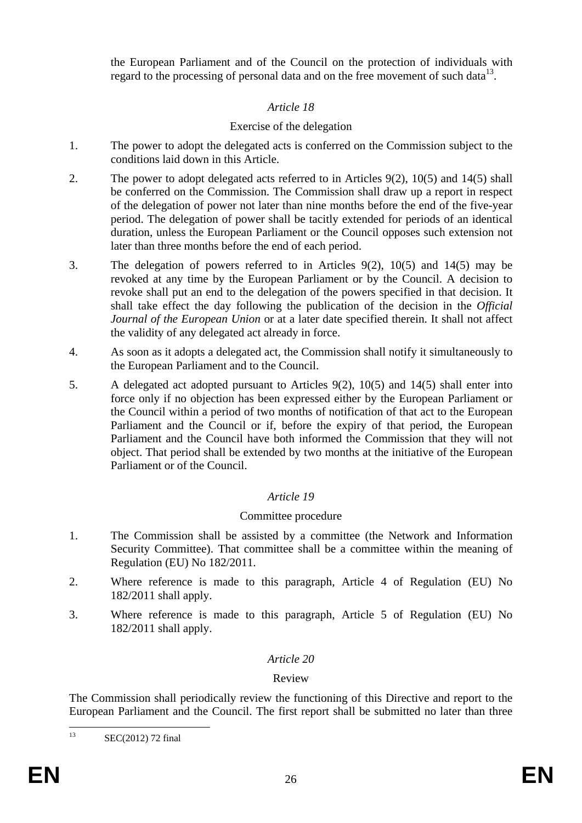the European Parliament and of the Council on the protection of individuals with regard to the processing of personal data and on the free movement of such data $^{13}$ .

## *Article 18*

## Exercise of the delegation

- 1. The power to adopt the delegated acts is conferred on the Commission subject to the conditions laid down in this Article.
- 2. The power to adopt delegated acts referred to in Articles 9(2), 10(5) and 14(5) shall be conferred on the Commission. The Commission shall draw up a report in respect of the delegation of power not later than nine months before the end of the five-year period. The delegation of power shall be tacitly extended for periods of an identical duration, unless the European Parliament or the Council opposes such extension not later than three months before the end of each period.
- 3. The delegation of powers referred to in Articles 9(2), 10(5) and 14(5) may be revoked at any time by the European Parliament or by the Council. A decision to revoke shall put an end to the delegation of the powers specified in that decision. It shall take effect the day following the publication of the decision in the *Official Journal of the European Union* or at a later date specified therein. It shall not affect the validity of any delegated act already in force.
- 4. As soon as it adopts a delegated act, the Commission shall notify it simultaneously to the European Parliament and to the Council.
- 5. A delegated act adopted pursuant to Articles 9(2), 10(5) and 14(5) shall enter into force only if no objection has been expressed either by the European Parliament or the Council within a period of two months of notification of that act to the European Parliament and the Council or if, before the expiry of that period, the European Parliament and the Council have both informed the Commission that they will not object. That period shall be extended by two months at the initiative of the European Parliament or of the Council.

## *Article 19*

# Committee procedure

- 1. The Commission shall be assisted by a committee (the Network and Information Security Committee). That committee shall be a committee within the meaning of Regulation (EU) No 182/2011.
- 2. Where reference is made to this paragraph, Article 4 of Regulation (EU) No 182/2011 shall apply.
- 3. Where reference is made to this paragraph, Article 5 of Regulation (EU) No 182/2011 shall apply.

## *Article 20*

## Review

The Commission shall periodically review the functioning of this Directive and report to the European Parliament and the Council. The first report shall be submitted no later than three

 $13$ SEC(2012) 72 final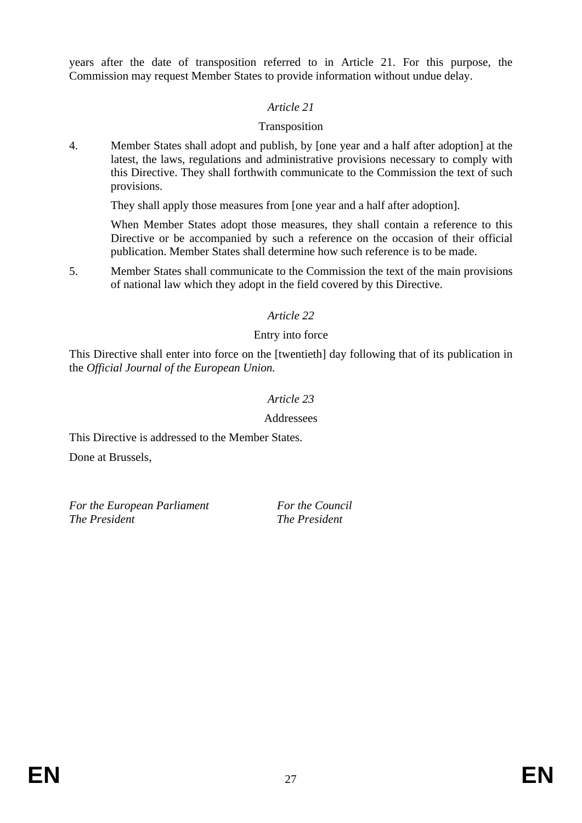years after the date of transposition referred to in Article 21. For this purpose, the Commission may request Member States to provide information without undue delay.

## *Article 21*

## Transposition

4. Member States shall adopt and publish, by [one year and a half after adoption] at the latest, the laws, regulations and administrative provisions necessary to comply with this Directive. They shall forthwith communicate to the Commission the text of such provisions.

They shall apply those measures from [one year and a half after adoption].

When Member States adopt those measures, they shall contain a reference to this Directive or be accompanied by such a reference on the occasion of their official publication. Member States shall determine how such reference is to be made.

5. Member States shall communicate to the Commission the text of the main provisions of national law which they adopt in the field covered by this Directive.

## *Article 22*

## Entry into force

This Directive shall enter into force on the [twentieth] day following that of its publication in the *Official Journal of the European Union.*

### *Article 23*

### Addressees

This Directive is addressed to the Member States.

Done at Brussels,

*For the European Parliament For the Council The President The President*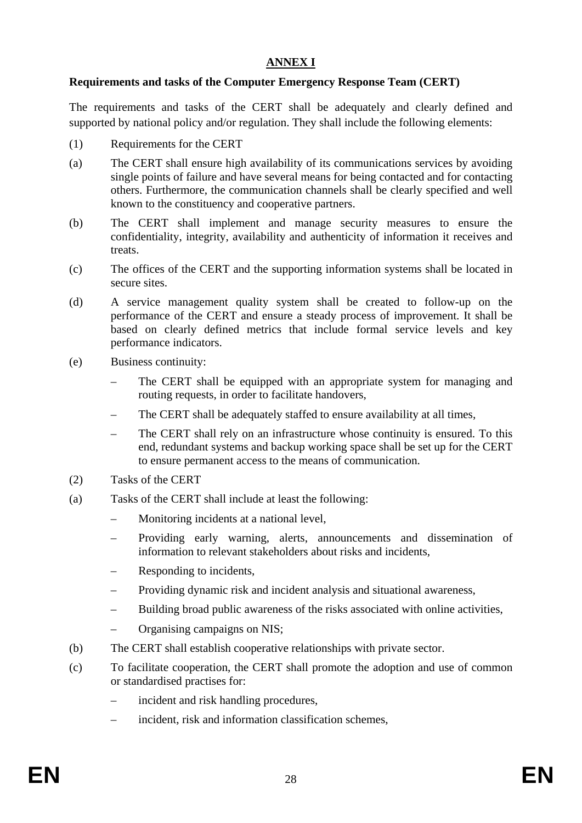## **ANNEX I**

## **Requirements and tasks of the Computer Emergency Response Team (CERT)**

The requirements and tasks of the CERT shall be adequately and clearly defined and supported by national policy and/or regulation. They shall include the following elements:

- (1) Requirements for the CERT
- (a) The CERT shall ensure high availability of its communications services by avoiding single points of failure and have several means for being contacted and for contacting others. Furthermore, the communication channels shall be clearly specified and well known to the constituency and cooperative partners.
- (b) The CERT shall implement and manage security measures to ensure the confidentiality, integrity, availability and authenticity of information it receives and treats.
- (c) The offices of the CERT and the supporting information systems shall be located in secure sites.
- (d) A service management quality system shall be created to follow-up on the performance of the CERT and ensure a steady process of improvement. It shall be based on clearly defined metrics that include formal service levels and key performance indicators.
- (e) Business continuity:
	- The CERT shall be equipped with an appropriate system for managing and routing requests, in order to facilitate handovers,
	- The CERT shall be adequately staffed to ensure availability at all times,
	- The CERT shall rely on an infrastructure whose continuity is ensured. To this end, redundant systems and backup working space shall be set up for the CERT to ensure permanent access to the means of communication.
- (2) Tasks of the CERT
- (a) Tasks of the CERT shall include at least the following:
	- Monitoring incidents at a national level,
	- Providing early warning, alerts, announcements and dissemination of information to relevant stakeholders about risks and incidents,
	- Responding to incidents,
	- Providing dynamic risk and incident analysis and situational awareness,
	- Building broad public awareness of the risks associated with online activities,
	- Organising campaigns on NIS;
- (b) The CERT shall establish cooperative relationships with private sector.
- (c) To facilitate cooperation, the CERT shall promote the adoption and use of common or standardised practises for:
	- incident and risk handling procedures,
	- incident, risk and information classification schemes,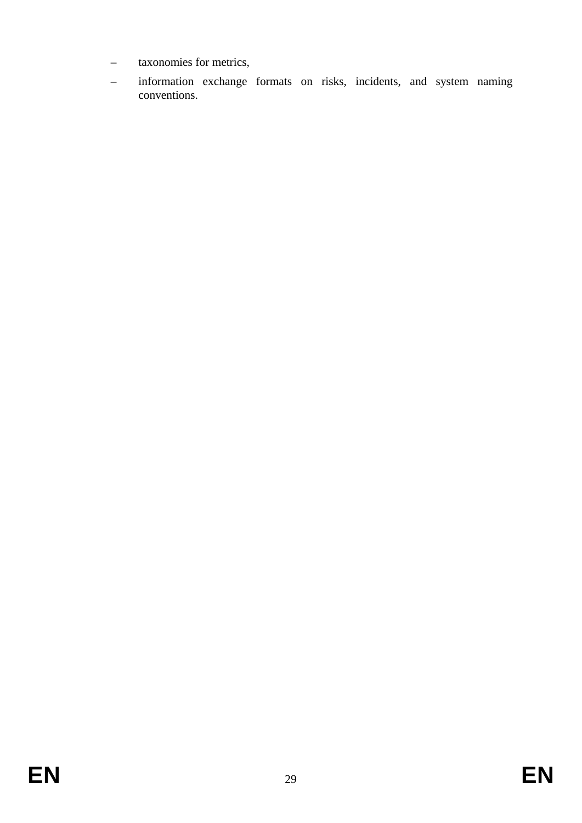- taxonomies for metrics,
- information exchange formats on risks, incidents, and system naming conventions.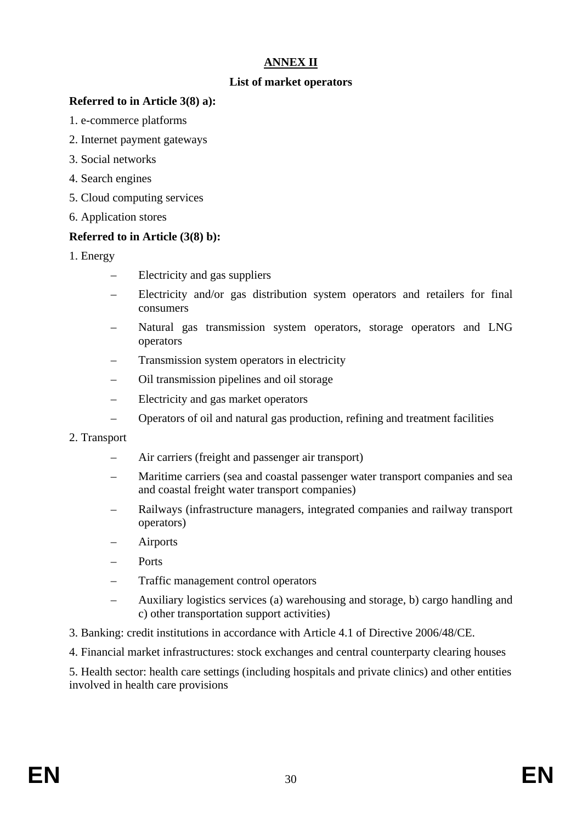## **ANNEX II**

### **List of market operators**

### **Referred to in Article 3(8) a):**

- 1. e-commerce platforms
- 2. Internet payment gateways
- 3. Social networks
- 4. Search engines
- 5. Cloud computing services
- 6. Application stores

### **Referred to in Article (3(8) b):**

- 1. Energy
	- Electricity and gas suppliers
	- Electricity and/or gas distribution system operators and retailers for final consumers
	- Natural gas transmission system operators, storage operators and LNG operators
	- Transmission system operators in electricity
	- Oil transmission pipelines and oil storage
	- Electricity and gas market operators
	- Operators of oil and natural gas production, refining and treatment facilities

### 2. Transport

- Air carriers (freight and passenger air transport)
- Maritime carriers (sea and coastal passenger water transport companies and sea and coastal freight water transport companies)
- Railways (infrastructure managers, integrated companies and railway transport operators)
- Airports
- Ports
- Traffic management control operators
- Auxiliary logistics services (a) warehousing and storage, b) cargo handling and c) other transportation support activities)
- 3. Banking: credit institutions in accordance with Article 4.1 of Directive 2006/48/CE.
- 4. Financial market infrastructures: stock exchanges and central counterparty clearing houses

5. Health sector: health care settings (including hospitals and private clinics) and other entities involved in health care provisions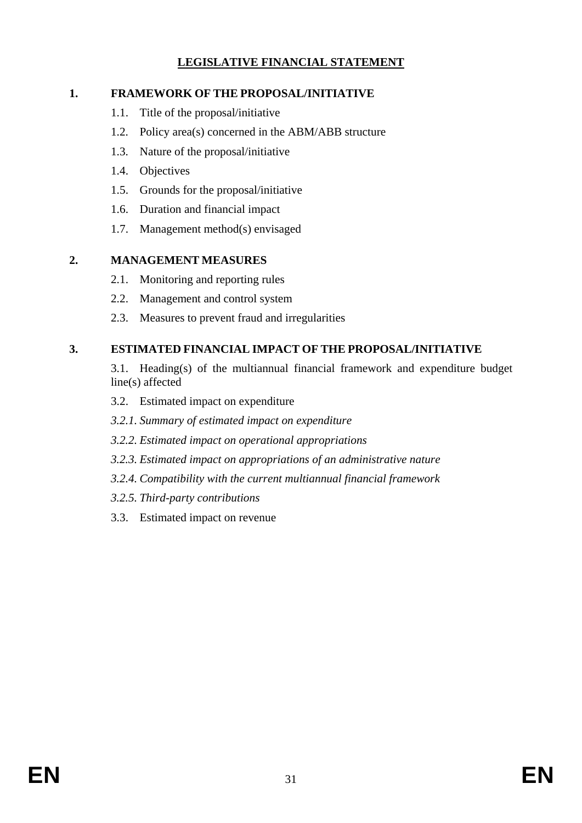## **LEGISLATIVE FINANCIAL STATEMENT**

## **1. FRAMEWORK OF THE PROPOSAL/INITIATIVE**

- 1.1. Title of the proposal/initiative
- 1.2. Policy area(s) concerned in the ABM/ABB structure
- 1.3. Nature of the proposal/initiative
- 1.4. Objectives
- 1.5. Grounds for the proposal/initiative
- 1.6. Duration and financial impact
- 1.7. Management method(s) envisaged

## **2. MANAGEMENT MEASURES**

- 2.1. Monitoring and reporting rules
- 2.2. Management and control system
- 2.3. Measures to prevent fraud and irregularities

# **3. ESTIMATED FINANCIAL IMPACT OF THE PROPOSAL/INITIATIVE**

- 3.1. Heading(s) of the multiannual financial framework and expenditure budget line(s) affected
- 3.2. Estimated impact on expenditure
- *3.2.1. Summary of estimated impact on expenditure*
- *3.2.2. Estimated impact on operational appropriations*
- *3.2.3. Estimated impact on appropriations of an administrative nature*
- *3.2.4. Compatibility with the current multiannual financial framework*
- *3.2.5. Third-party contributions*
- 3.3. Estimated impact on revenue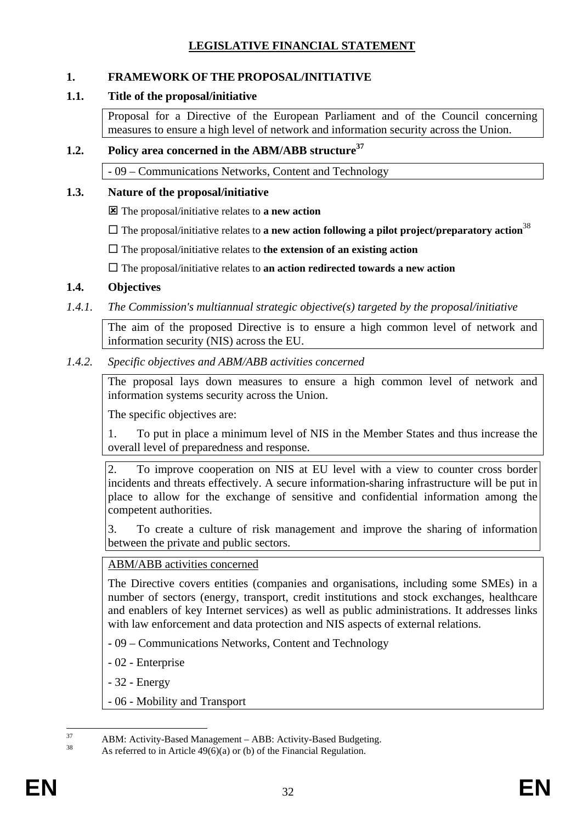## **LEGISLATIVE FINANCIAL STATEMENT**

## **1. FRAMEWORK OF THE PROPOSAL/INITIATIVE**

## **1.1. Title of the proposal/initiative**

Proposal for a Directive of the European Parliament and of the Council concerning measures to ensure a high level of network and information security across the Union.

## **1.2. Policy area concerned in the ABM/ABB structure37**

- 09 – Communications Networks, Content and Technology

## **1.3. Nature of the proposal/initiative**

: The proposal/initiative relates to **a new action** 

 $\Box$  The proposal/initiative relates to **a new action following a pilot project/preparatory action**<sup>38</sup>

 $\Box$  The proposal/initiative relates to **the extension of an existing action** 

The proposal/initiative relates to **an action redirected towards a new action**

## **1.4. Objectives**

## *1.4.1. The Commission's multiannual strategic objective(s) targeted by the proposal/initiative*

The aim of the proposed Directive is to ensure a high common level of network and information security (NIS) across the EU.

## *1.4.2. Specific objectives and ABM/ABB activities concerned*

The proposal lays down measures to ensure a high common level of network and information systems security across the Union.

The specific objectives are:

1. To put in place a minimum level of NIS in the Member States and thus increase the overall level of preparedness and response.

2. To improve cooperation on NIS at EU level with a view to counter cross border incidents and threats effectively. A secure information-sharing infrastructure will be put in place to allow for the exchange of sensitive and confidential information among the competent authorities.

3. To create a culture of risk management and improve the sharing of information between the private and public sectors.

## ABM/ABB activities concerned

The Directive covers entities (companies and organisations, including some SMEs) in a number of sectors (energy, transport, credit institutions and stock exchanges, healthcare and enablers of key Internet services) as well as public administrations. It addresses links with law enforcement and data protection and NIS aspects of external relations.

- 09 Communications Networks, Content and Technology
- 02 Enterprise
- 32 Energy
- 06 Mobility and Transport

 $37$  $37$  ABM: Activity-Based Management – ABB: Activity-Based Budgeting.

As referred to in Article  $49(6)(a)$  or (b) of the Financial Regulation.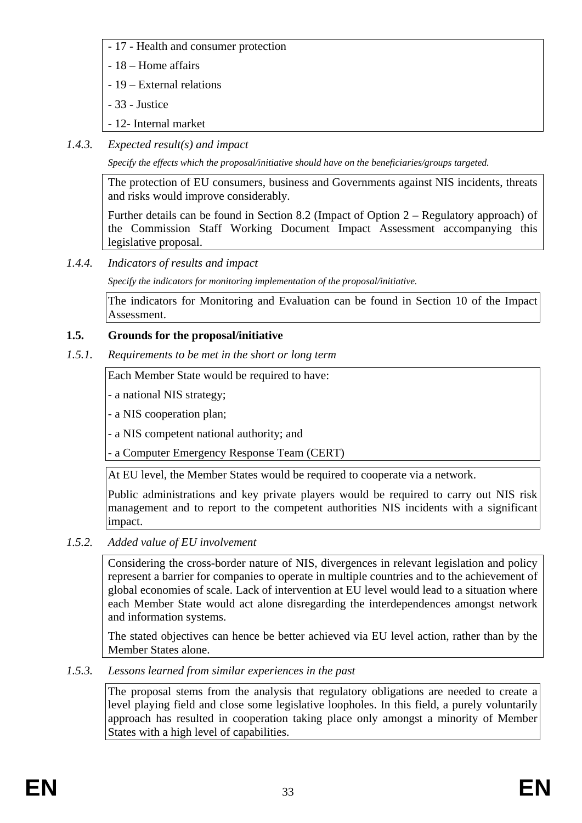- 17 Health and consumer protection
- 18 Home affairs
- 19 External relations
- 33 Justice
- 12- Internal market
- *1.4.3. Expected result(s) and impact*

*Specify the effects which the proposal/initiative should have on the beneficiaries/groups targeted.* 

The protection of EU consumers, business and Governments against NIS incidents, threats and risks would improve considerably.

Further details can be found in Section 8.2 (Impact of Option 2 – Regulatory approach) of the Commission Staff Working Document Impact Assessment accompanying this legislative proposal.

*1.4.4. Indicators of results and impact* 

*Specify the indicators for monitoring implementation of the proposal/initiative.* 

The indicators for Monitoring and Evaluation can be found in Section 10 of the Impact Assessment.

# **1.5. Grounds for the proposal/initiative**

*1.5.1. Requirements to be met in the short or long term* 

Each Member State would be required to have:

- a national NIS strategy;

- a NIS cooperation plan;

- a NIS competent national authority; and

- a Computer Emergency Response Team (CERT)

At EU level, the Member States would be required to cooperate via a network.

Public administrations and key private players would be required to carry out NIS risk management and to report to the competent authorities NIS incidents with a significant impact.

*1.5.2. Added value of EU involvement* 

Considering the cross-border nature of NIS, divergences in relevant legislation and policy represent a barrier for companies to operate in multiple countries and to the achievement of global economies of scale. Lack of intervention at EU level would lead to a situation where each Member State would act alone disregarding the interdependences amongst network and information systems.

The stated objectives can hence be better achieved via EU level action, rather than by the Member States alone.

# *1.5.3. Lessons learned from similar experiences in the past*

The proposal stems from the analysis that regulatory obligations are needed to create a level playing field and close some legislative loopholes. In this field, a purely voluntarily approach has resulted in cooperation taking place only amongst a minority of Member States with a high level of capabilities.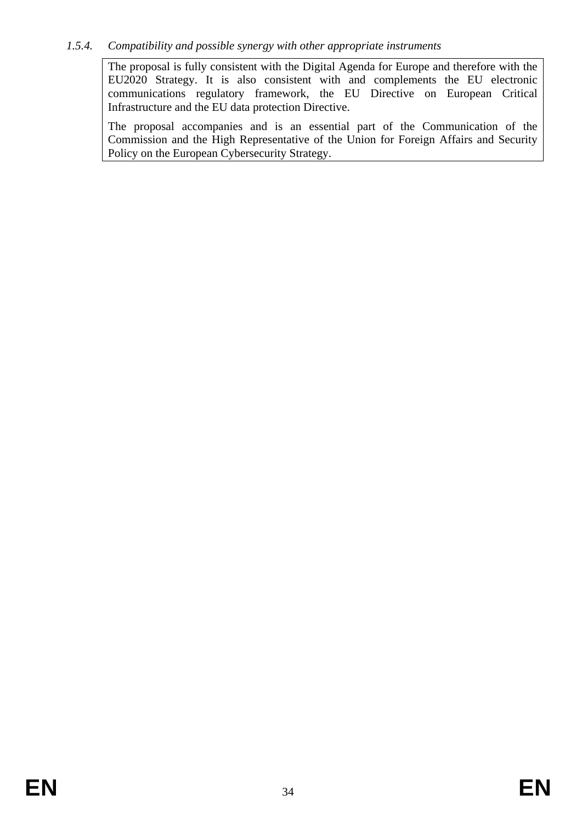### *1.5.4. Compatibility and possible synergy with other appropriate instruments*

The proposal is fully consistent with the Digital Agenda for Europe and therefore with the EU2020 Strategy. It is also consistent with and complements the EU electronic communications regulatory framework, the EU Directive on European Critical Infrastructure and the EU data protection Directive.

The proposal accompanies and is an essential part of the Communication of the Commission and the High Representative of the Union for Foreign Affairs and Security Policy on the European Cybersecurity Strategy.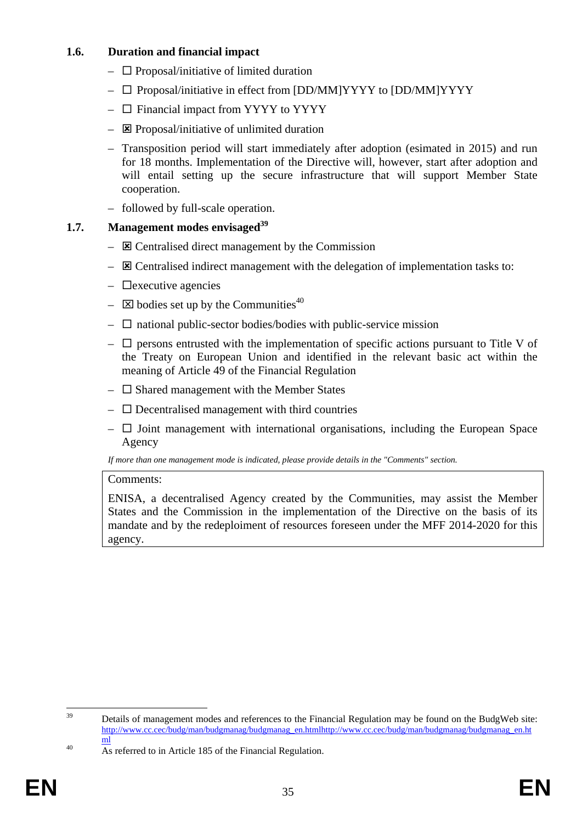### **1.6. Duration and financial impact**

- $\Box$  Proposal/initiative of limited duration
- $\square$  Proposal/initiative in effect from [DD/MM]YYYY to [DD/MM]YYYY
- $\Box$  Financial impact from YYYY to YYYY
- $\overline{\mathbf{z}}$  Proposal/initiative of unlimited duration
- Transposition period will start immediately after adoption (esimated in 2015) and run for 18 months. Implementation of the Directive will, however, start after adoption and will entail setting up the secure infrastructure that will support Member State cooperation.
- followed by full-scale operation.

# **1.7.** Management modes envisaged<sup>39</sup>

- $\overline{\mathbf{z}}$  Centralised direct management by the Commission
- $\overline{\mathbf{z}}$  Centralised indirect management with the delegation of implementation tasks to:
- $\Box$  executive agencies
- $\boxtimes$  bodies set up by the Communities<sup>40</sup>
- $\Box$  national public-sector bodies/bodies with public-service mission
- $\Box$  persons entrusted with the implementation of specific actions pursuant to Title V of the Treaty on European Union and identified in the relevant basic act within the meaning of Article 49 of the Financial Regulation
- $\square$  Shared management with the Member States
- $\overline{\phantom{a}}$  Decentralised management with third countries
- $\Box$  Joint management with international organisations, including the European Space Agency

*If more than one management mode is indicated, please provide details in the "Comments" section.* 

## Comments:

ENISA, a decentralised Agency created by the Communities, may assist the Member States and the Commission in the implementation of the Directive on the basis of its mandate and by the redeploiment of resources foreseen under the MFF 2014-2020 for this agency.

<sup>39</sup> Details of management modes and references to the Financial Regulation may be found on the BudgWeb site: [http://www.cc.cec/budg/man/budgmanag/budg](http://www.cc.cec/budg/man/budgmanag/budgmanag_en.html)manag\_en.ht[mlhttp://www.cc.cec/budg/man/budgmanag/budgmanag\\_en.ht](http://www.cc.cec/budg/man/budgmanag/budgmanag_en.html)

 $\frac{m}{40}$  As referred to in Article 185 of the Financial Regulation.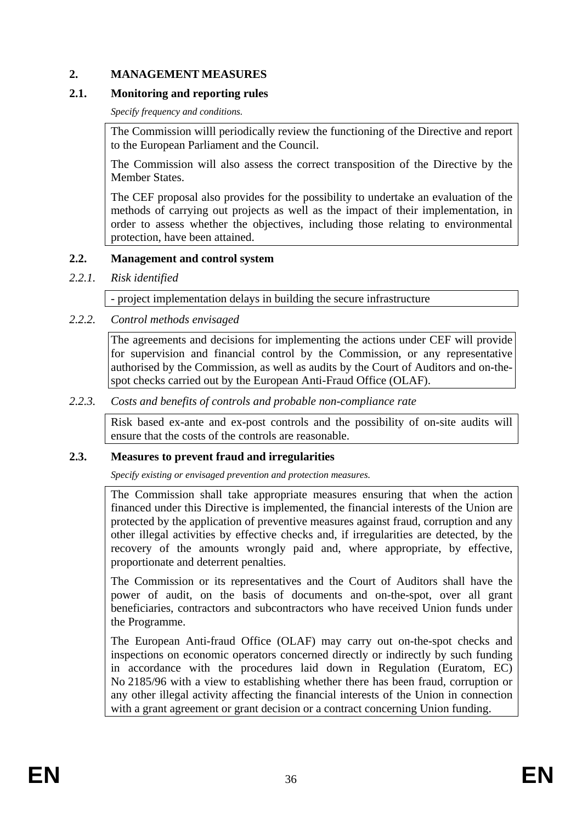### **2. MANAGEMENT MEASURES**

### **2.1. Monitoring and reporting rules**

*Specify frequency and conditions.* 

The Commission willl periodically review the functioning of the Directive and report to the European Parliament and the Council.

The Commission will also assess the correct transposition of the Directive by the Member States.

The CEF proposal also provides for the possibility to undertake an evaluation of the methods of carrying out projects as well as the impact of their implementation, in order to assess whether the objectives, including those relating to environmental protection, have been attained.

### **2.2. Management and control system**

*2.2.1. Risk identified* 

- project implementation delays in building the secure infrastructure

## *2.2.2. Control methods envisaged*

The agreements and decisions for implementing the actions under CEF will provide for supervision and financial control by the Commission, or any representative authorised by the Commission, as well as audits by the Court of Auditors and on-thespot checks carried out by the European Anti-Fraud Office (OLAF).

### *2.2.3. Costs and benefits of controls and probable non-compliance rate*

Risk based ex-ante and ex-post controls and the possibility of on-site audits will ensure that the costs of the controls are reasonable.

### **2.3. Measures to prevent fraud and irregularities**

*Specify existing or envisaged prevention and protection measures.* 

The Commission shall take appropriate measures ensuring that when the action financed under this Directive is implemented, the financial interests of the Union are protected by the application of preventive measures against fraud, corruption and any other illegal activities by effective checks and, if irregularities are detected, by the recovery of the amounts wrongly paid and, where appropriate, by effective, proportionate and deterrent penalties.

The Commission or its representatives and the Court of Auditors shall have the power of audit, on the basis of documents and on-the-spot, over all grant beneficiaries, contractors and subcontractors who have received Union funds under the Programme.

The European Anti-fraud Office (OLAF) may carry out on-the-spot checks and inspections on economic operators concerned directly or indirectly by such funding in accordance with the procedures laid down in Regulation (Euratom, EC) No 2185/96 with a view to establishing whether there has been fraud, corruption or any other illegal activity affecting the financial interests of the Union in connection with a grant agreement or grant decision or a contract concerning Union funding.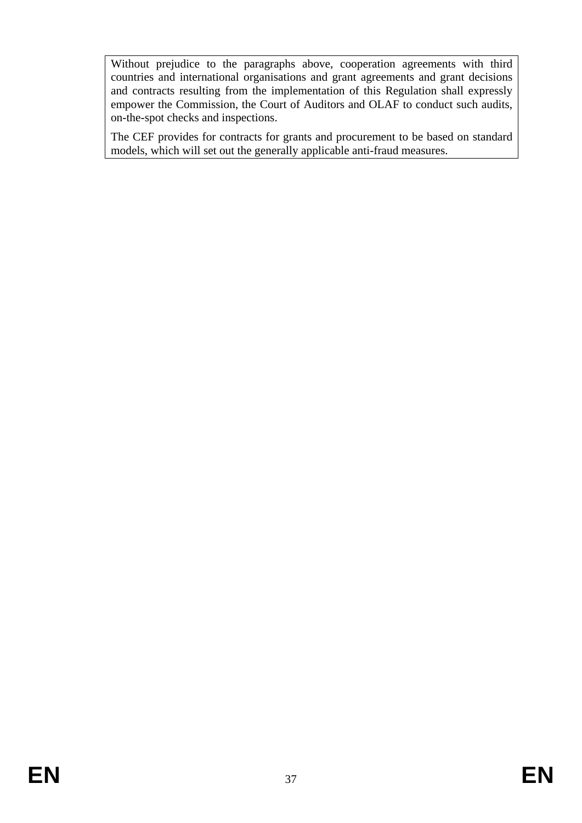Without prejudice to the paragraphs above, cooperation agreements with third countries and international organisations and grant agreements and grant decisions and contracts resulting from the implementation of this Regulation shall expressly empower the Commission, the Court of Auditors and OLAF to conduct such audits, on-the-spot checks and inspections.

The CEF provides for contracts for grants and procurement to be based on standard models, which will set out the generally applicable anti-fraud measures.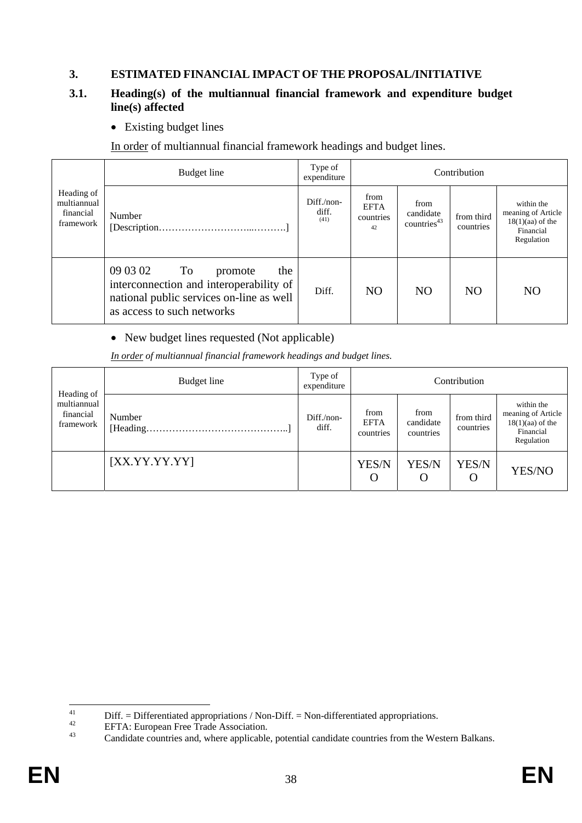### **3. ESTIMATED FINANCIAL IMPACT OF THE PROPOSAL/INITIATIVE**

### **3.1. Heading(s) of the multiannual financial framework and expenditure budget line(s) affected**

• Existing budget lines

In order of multiannual financial framework headings and budget lines.

|                                                     | Budget line                                                                                                                                                 | Type of<br>expenditure        |                                        |                                              | Contribution            |                                                                                   |
|-----------------------------------------------------|-------------------------------------------------------------------------------------------------------------------------------------------------------------|-------------------------------|----------------------------------------|----------------------------------------------|-------------------------|-----------------------------------------------------------------------------------|
| Heading of<br>multiannual<br>financial<br>framework | Number                                                                                                                                                      | $Diff./non-$<br>diff.<br>(41) | from<br><b>EFTA</b><br>countries<br>42 | from<br>candidate<br>countries <sup>43</sup> | from third<br>countries | within the<br>meaning of Article<br>$18(1)(aa)$ of the<br>Financial<br>Regulation |
|                                                     | 09 03 02<br>$\Gamma$<br>the<br>promote<br>interconnection and interoperability of<br>national public services on-line as well<br>as access to such networks | Diff.                         | <b>NO</b>                              | N <sub>O</sub>                               | N <sub>O</sub>          | N <sub>O</sub>                                                                    |

### • New budget lines requested (Not applicable)

*In order of multiannual financial framework headings and budget lines.* 

| Heading of                            | Budget line   | Type of<br>expenditure |                                  |                                | Contribution            |                                                                                   |
|---------------------------------------|---------------|------------------------|----------------------------------|--------------------------------|-------------------------|-----------------------------------------------------------------------------------|
| multiannual<br>financial<br>framework | Number        | Diff./non-<br>diff.    | from<br><b>EFTA</b><br>countries | from<br>candidate<br>countries | from third<br>countries | within the<br>meaning of Article<br>$18(1)(aa)$ of the<br>Financial<br>Regulation |
|                                       | [XX.YY.YY.YY] |                        | YES/N<br>O                       | YES/N<br>$\Omega$              | YES/N<br>O              | YES/NO                                                                            |

 $41$ <sup>41</sup> Diff. = Differentiated appropriations / Non-Diff. = Non-differentiated appropriations.<br><sup>42</sup> EFTA: European Free Trade Association.<br>Condidate countries and where applicable potential applicate countries from the Wo

Candidate countries and, where applicable, potential candidate countries from the Western Balkans.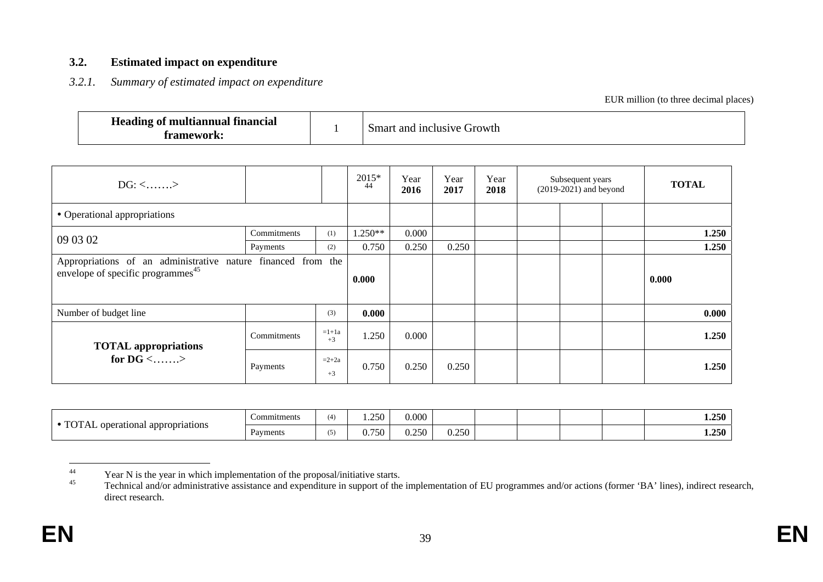### **3.2. Estimated impact on expenditure**

### *3.2.1. Summary of estimated impact on expenditure*

EUR million (to three decimal places)

| <b>Heading of multiannual</b><br><b>financial</b><br>. |  | Cirowth<br>l inclusive<br>and<br>Smart. |
|--------------------------------------------------------|--|-----------------------------------------|
|--------------------------------------------------------|--|-----------------------------------------|

| $DG: \langle \ldots \ldots \rangle$                                                                           |             | $2015*$<br>44   | Year<br>2016 | Year<br>2017 | Year<br>2018 | Subsequent years<br>$(2019-2021)$ and beyond | <b>TOTAL</b> |       |
|---------------------------------------------------------------------------------------------------------------|-------------|-----------------|--------------|--------------|--------------|----------------------------------------------|--------------|-------|
| • Operational appropriations                                                                                  |             |                 |              |              |              |                                              |              |       |
| 09 03 02                                                                                                      | Commitments | (1)             | 1.250**      | 0.000        |              |                                              |              | 1.250 |
|                                                                                                               | Payments    | (2)             | 0.750        | 0.250        | 0.250        |                                              |              | 1.250 |
| Appropriations of an administrative nature financed from the<br>envelope of specific programmes <sup>45</sup> |             |                 |              |              |              |                                              |              | 0.000 |
| Number of budget line                                                                                         |             | (3)             | 0.000        |              |              |                                              |              | 0.000 |
| <b>TOTAL appropriations</b>                                                                                   | Commitments | $=1+1a$<br>$+3$ | 1.250        | 0.000        |              |                                              |              | 1.250 |
| for DG $\langle$ >                                                                                            | Payments    | $=2+2a$<br>$+3$ | 0.750        | 0.250        | 0.250        |                                              |              | 1.250 |

| T                          | <b>Commitments</b> | (4) | 250<br>$\overline{1}$ . $\overline{2}$ | 0.000              |       |  |  | 1.250 |
|----------------------------|--------------------|-----|----------------------------------------|--------------------|-------|--|--|-------|
| operational appropriations | $\sim$<br>Payments | (5) | ⌒<br>$^{\prime}$ .<br>υ.<br>$\sim$     | 250<br>,,,<br>◡.∠. | 0.250 |  |  | 1.250 |

<sup>&</sup>lt;sup>44</sup><br>
Year N is the year in which implementation of the proposal/initiative starts.<br>
Technical and/or edministrative assistance and expanditure in support of the

Technical and/or administrative assistance and expenditure in support of the implementation of EU programmes and/or actions (former 'BA' lines), indirect research, direct research.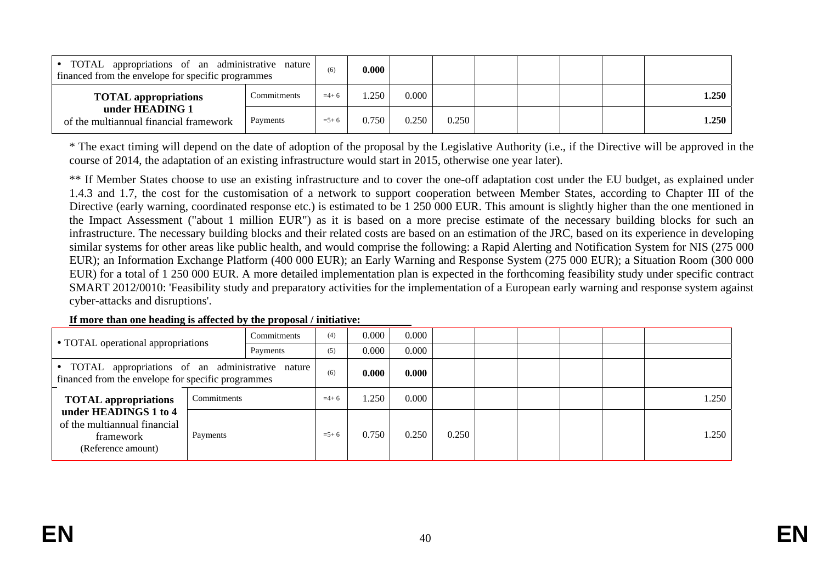| TOTAL appropriations of an administrative nature<br>financed from the envelope for specific programmes |             | (6)    | 0.000 |       |       |  |  |       |
|--------------------------------------------------------------------------------------------------------|-------------|--------|-------|-------|-------|--|--|-------|
| <b>TOTAL</b> appropriations                                                                            | Commitments | $=4+6$ | .250  | 0.000 |       |  |  | 1.250 |
| under HEADING 1<br>Payments<br>of the multiannual financial framework                                  |             |        | 0.750 | 0.250 | 0.250 |  |  | 1.250 |

\* The exact timing will depend on the date of adoption of the proposal by the Legislative Authority (i.e., if the Directive will be approved in the course of 2014, the adaptation of an existing infrastructure would start in 2015, otherwise one year later).

\*\* If Member States choose to use an existing infrastructure and to cover the one-off adaptation cost under the EU budget, as explained under 1.4.3 and 1.7, the cost for the customisation of a network to support cooperation between Member States, according to Chapter III of the Directive (early warning, coordinated response etc.) is estimated to be 1 250 000 EUR. This amount is slightly higher than the one mentioned in the Impact Assessment ("about 1 million EUR") as it is based on a more precise estimate of the necessary building blocks for such an infrastructure. The necessary building blocks and their related costs are based on an estimation of the JRC, based on its experience in developing similar systems for other areas like public health, and would comprise the following: a Rapid Alerting and Notification System for NIS (275 000 EUR); an Information Exchange Platform (400 000 EUR); an Early Warning and Response System (275 000 EUR); a Situation Room (300 000 EUR) for a total of 1 250 000 EUR. A more detailed implementation plan is expected in the forthcoming feasibility study under specific contract SMART 2012/0010: 'Feasibility study and preparatory activities for the implementation of a European early warning and response system against cyber-attacks and disruptions'.

|                                                                                                          | Commitments |           |        | 0.000 | 0.000 |  |  |       |       |
|----------------------------------------------------------------------------------------------------------|-------------|-----------|--------|-------|-------|--|--|-------|-------|
| • TOTAL operational appropriations                                                                       | Payments    |           |        | 0.000 | 0.000 |  |  |       |       |
| • TOTAL appropriations of an administrative nature<br>financed from the envelope for specific programmes |             |           | (6)    | 0.000 | 0.000 |  |  |       |       |
| <b>TOTAL</b> appropriations                                                                              | Commitments |           | $=4+6$ | 1.250 | 0.000 |  |  |       | 1.250 |
| under HEADINGS 1 to 4<br>of the multiannual financial<br>framework<br>(Reference amount)                 | Payments    | $= 5 + 6$ | 0.750  | 0.250 | 0.250 |  |  | 1.250 |       |

#### **If more than one heading is affected by the proposal / initiative:**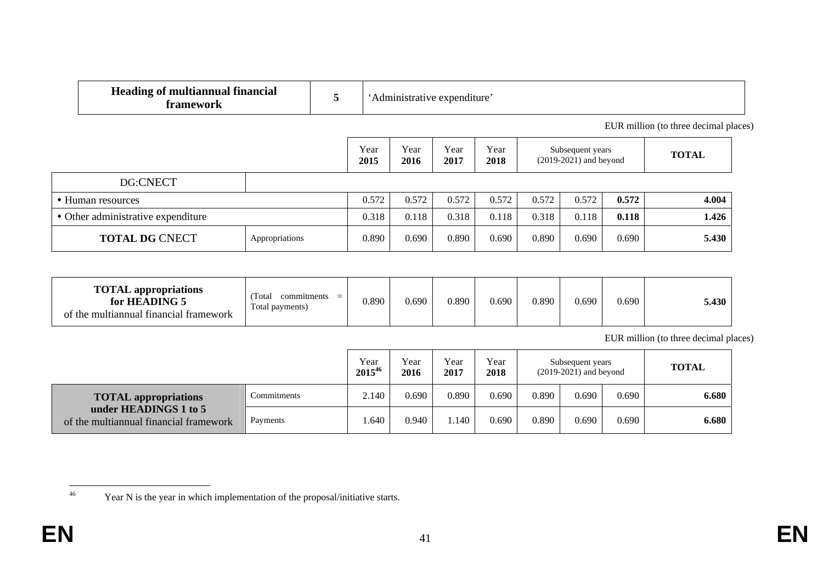| <b>Heading of multiannual financial</b><br>framework | 5     |              | 'Administrative expenditure' |              |              |       |                                              |       |                                       |
|------------------------------------------------------|-------|--------------|------------------------------|--------------|--------------|-------|----------------------------------------------|-------|---------------------------------------|
|                                                      |       |              |                              |              |              |       |                                              |       | EUR million (to three decimal places) |
|                                                      |       | Year<br>2015 | Year<br>2016                 | Year<br>2017 | Year<br>2018 |       | Subsequent years<br>$(2019-2021)$ and beyond |       | <b>TOTAL</b>                          |
| DG:CNECT                                             |       |              |                              |              |              |       |                                              |       |                                       |
| • Human resources                                    |       | 0.572        | 0.572                        | 0.572        | 0.572        | 0.572 | 0.572                                        | 0.572 | 4.004                                 |
| • Other administrative expenditure                   | 0.318 | 0.118        | 0.318                        | 0.118        | 0.318        | 0.118 | 0.118                                        | 1.426 |                                       |
| <b>TOTAL DG CNECT</b>                                | 0.890 | 0.690        | 0.890                        | 0.690        | 0.890        | 0.690 | 0.690                                        | 5.430 |                                       |

| <b>TOTAL</b> appropriations<br>for HEADING 5<br>of the multiannual financial framework | Total<br>commitments<br>$\equiv$<br>Total payments) | 0.890 | 0.690 | 0.890 | 0.690 | 0.890 | 0.690 | 0.690 | 5.430 |
|----------------------------------------------------------------------------------------|-----------------------------------------------------|-------|-------|-------|-------|-------|-------|-------|-------|
|----------------------------------------------------------------------------------------|-----------------------------------------------------|-------|-------|-------|-------|-------|-------|-------|-------|

EUR million (to three decimal places)

|                                                                 | Year<br>201546 | Year<br>2016 | Year<br>2017 | Year<br>2018 | Subsequent years<br>$(2019-2021)$ and beyond |       |       | <b>TOTAL</b> |       |
|-----------------------------------------------------------------|----------------|--------------|--------------|--------------|----------------------------------------------|-------|-------|--------------|-------|
| <b>TOTAL</b> appropriations                                     | Commitments    | 2.140        | 0.690        | 0.890        | 0.690                                        | 0.890 | 0.690 | 0.690        | 6.680 |
| under HEADINGS 1 to 5<br>of the multiannual financial framework | Payments       | .640         | 0.940        | .140         | 0.690                                        | 0.890 | 0.690 | 0.690        | 6.680 |

<sup>46</sup> Year N is the year in which implementation of the proposal/initiative starts.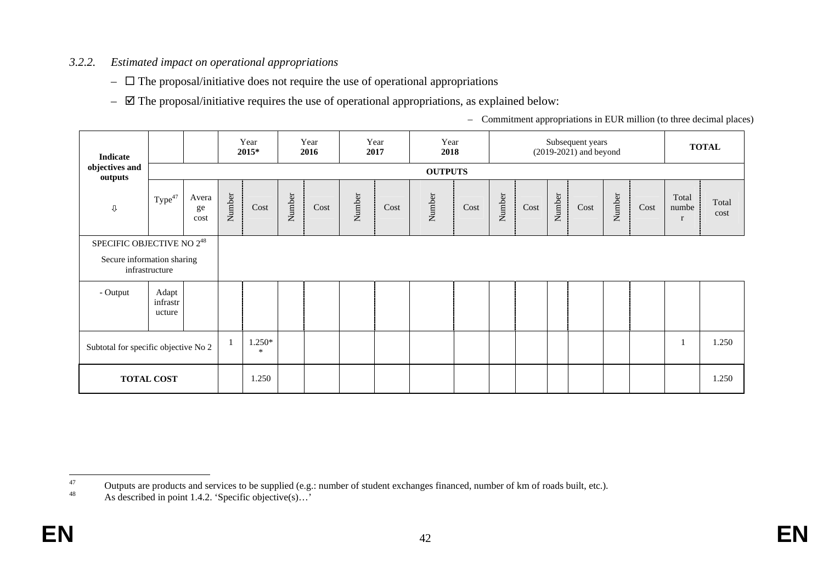## *3.2.2. Estimated impact on operational appropriations*

- $\Box$  The proposal/initiative does not require the use of operational appropriations
- $\boxtimes$  The proposal/initiative requires the use of operational appropriations, as explained below:

– Commitment appropriations in EUR million (to three decimal places)

| Indicate                                                     |                             |                     |        | Year<br>2015*    |        | Year<br>2016 |        | Year<br>2017 | Year<br>2018   |      |        |      |        | Subsequent years<br>$(2019-2021)$ and beyond |        |      |                                | <b>TOTAL</b>  |
|--------------------------------------------------------------|-----------------------------|---------------------|--------|------------------|--------|--------------|--------|--------------|----------------|------|--------|------|--------|----------------------------------------------|--------|------|--------------------------------|---------------|
| objectives and<br>outputs                                    |                             |                     |        |                  |        |              |        |              | <b>OUTPUTS</b> |      |        |      |        |                                              |        |      |                                |               |
| $\mathbb Q$                                                  | Type <sup>47</sup>          | Avera<br>ge<br>cost | Number | Cost             | Number | Cost         | Number | Cost         | Number         | Cost | Number | Cost | Number | Cost                                         | Number | Cost | Total<br>numbe<br>$\mathbf{r}$ | Total<br>cost |
| SPECIFIC OBJECTIVE NO $2^{48}$<br>Secure information sharing | infrastructure              |                     |        |                  |        |              |        |              |                |      |        |      |        |                                              |        |      |                                |               |
| - Output                                                     | Adapt<br>infrastr<br>ucture |                     |        |                  |        |              |        |              |                |      |        |      |        |                                              |        |      |                                |               |
| Subtotal for specific objective No 2                         |                             |                     |        | 1.250*<br>$\ast$ |        |              |        |              |                |      |        |      |        |                                              |        |      |                                | 1.250         |
|                                                              | <b>TOTAL COST</b>           |                     |        | 1.250            |        |              |        |              |                |      |        |      |        |                                              |        |      |                                | 1.250         |

<sup>47</sup> Outputs are products and services to be supplied (e.g.: number of student exchanges financed, number of km of roads built, etc.).

As described in point 1.4.2. 'Specific objective(s)...'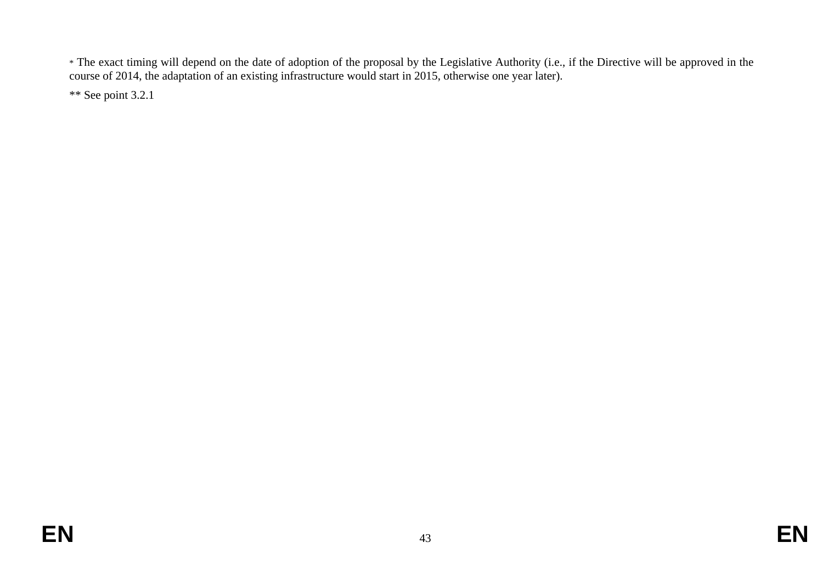\* The exact timing will depend on the date of adoption of the proposal by the Legislative Authority (i.e., if the Directive will be approved in the course of 2014, the adaptation of an existing infrastructure would start in 2015, otherwise one year later).

\*\* See point 3.2.1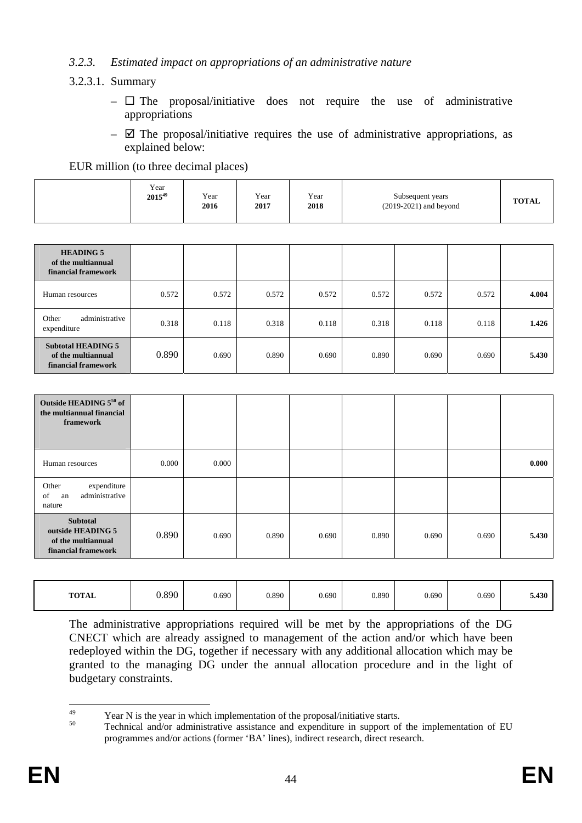### *3.2.3. Estimated impact on appropriations of an administrative nature*

### 3.2.3.1. Summary

- $\Box$  The proposal/initiative does not require the use of administrative appropriations
- $\boxtimes$  The proposal/initiative requires the use of administrative appropriations, as explained below:

EUR million (to three decimal places)

|  | Year<br>$2015^{49}$ | Year<br>2016 | Year<br>2017 | Year<br>2018 | Subsequent years<br>$(2019-2021)$ and beyond | <b>TOTAL</b> |
|--|---------------------|--------------|--------------|--------------|----------------------------------------------|--------------|
|--|---------------------|--------------|--------------|--------------|----------------------------------------------|--------------|

| <b>HEADING 5</b><br>of the multiannual<br>financial framework          |       |       |       |       |       |       |       |       |
|------------------------------------------------------------------------|-------|-------|-------|-------|-------|-------|-------|-------|
| Human resources                                                        | 0.572 | 0.572 | 0.572 | 0.572 | 0.572 | 0.572 | 0.572 | 4.004 |
| administrative<br>Other<br>expenditure                                 | 0.318 | 0.118 | 0.318 | 0.118 | 0.318 | 0.118 | 0.118 | 1.426 |
| <b>Subtotal HEADING 5</b><br>of the multiannual<br>financial framework | 0.890 | 0.690 | 0.890 | 0.690 | 0.890 | 0.690 | 0.690 | 5.430 |

| Outside HEADING 550 of<br>the multiannual financial<br>framework                  |       |       |       |       |       |       |       |       |
|-----------------------------------------------------------------------------------|-------|-------|-------|-------|-------|-------|-------|-------|
| Human resources                                                                   | 0.000 | 0.000 |       |       |       |       |       | 0.000 |
| expenditure<br>Other<br>administrative<br>of<br>an<br>nature                      |       |       |       |       |       |       |       |       |
| <b>Subtotal</b><br>outside HEADING 5<br>of the multiannual<br>financial framework | 0.890 | 0.690 | 0.890 | 0.690 | 0.890 | 0.690 | 0.690 | 5.430 |

| <b>TOTAL</b> | 0.890 | 0.690 | 0.890 | 0.690 | 0.890 | 0.690 | 0.690 | 5.430 |
|--------------|-------|-------|-------|-------|-------|-------|-------|-------|
|--------------|-------|-------|-------|-------|-------|-------|-------|-------|

The administrative appropriations required will be met by the appropriations of the DG CNECT which are already assigned to management of the action and/or which have been redeployed within the DG, together if necessary with any additional allocation which may be granted to the managing DG under the annual allocation procedure and in the light of budgetary constraints.

<sup>49</sup> 

<sup>&</sup>lt;sup>49</sup> Year N is the year in which implementation of the proposal/initiative starts.<br><sup>50</sup> Technical and/or administrative assistance and expenditure in support of the implementation of EU programmes and/or actions (former 'BA' lines), indirect research, direct research.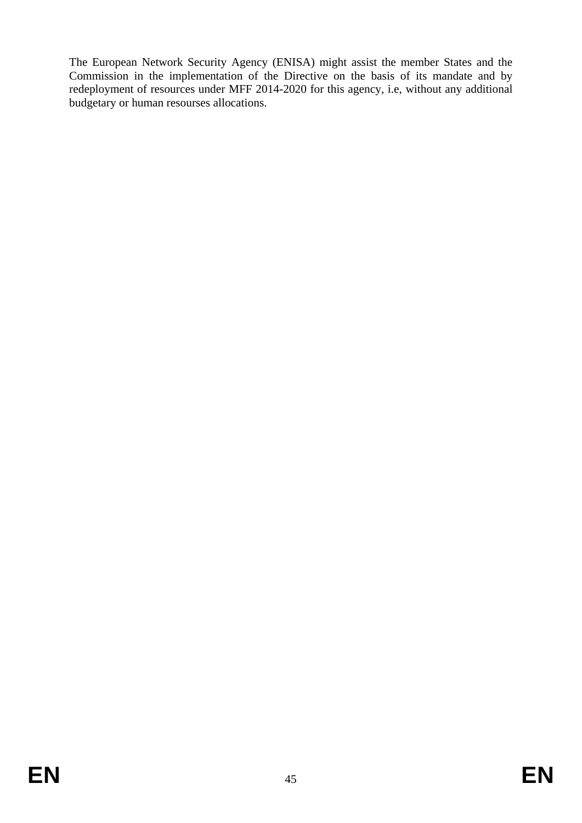The European Network Security Agency (ENISA) might assist the member States and the Commission in the implementation of the Directive on the basis of its mandate and by redeployment of resources under MFF 2014-2020 for this agency, i.e, without any additional budgetary or human resourses allocations.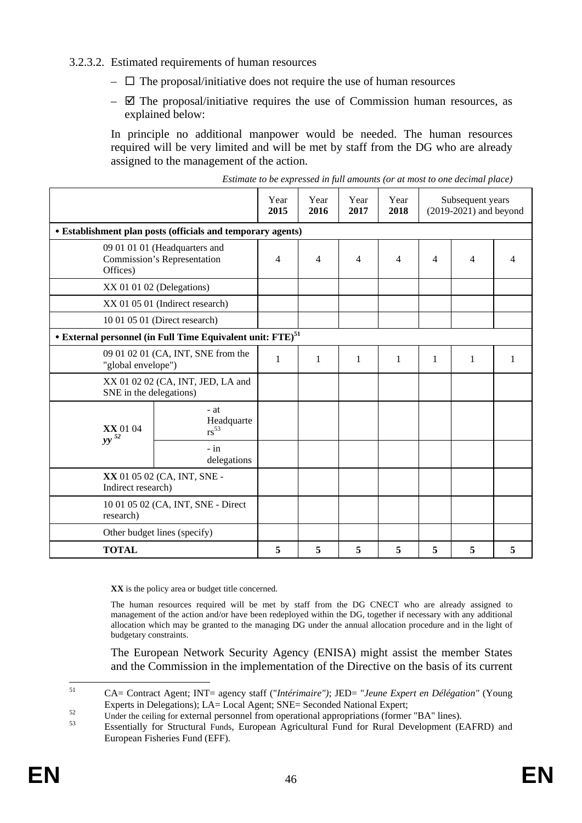### 3.2.3.2. Estimated requirements of human resources

- $\Box$  The proposal/initiative does not require the use of human resources
- $\boxtimes$  The proposal/initiative requires the use of Commission human resources, as explained below:

In principle no additional manpower would be needed. The human resources required will be very limited and will be met by staff from the DG who are already assigned to the management of the action.

|                                                                          |                                                                        |   | Year<br>2016   | Year<br>2017   | Year<br>2018 |                | Subsequent years<br>$(2019-2021)$ and beyond |   |
|--------------------------------------------------------------------------|------------------------------------------------------------------------|---|----------------|----------------|--------------|----------------|----------------------------------------------|---|
|                                                                          | • Establishment plan posts (officials and temporary agents)            |   |                |                |              |                |                                              |   |
| 09 01 01 01 (Headquarters and<br>Commission's Representation<br>Offices) |                                                                        | 4 | $\overline{4}$ | $\overline{4}$ | 4            | $\overline{4}$ | $\overline{4}$                               | Δ |
|                                                                          | $XX$ 01 01 02 (Delegations)                                            |   |                |                |              |                |                                              |   |
|                                                                          | XX 01 05 01 (Indirect research)                                        |   |                |                |              |                |                                              |   |
|                                                                          | 10 01 05 01 (Direct research)                                          |   |                |                |              |                |                                              |   |
|                                                                          | • External personnel (in Full Time Equivalent unit: FTE) <sup>51</sup> |   |                |                |              |                |                                              |   |
| 09 01 02 01 (CA, INT, SNE from the<br>"global envelope")                 |                                                                        | 1 | 1              | $\mathbf{1}$   | 1            | 1              | $\mathbf{1}$                                 |   |
| XX 01 02 02 (CA, INT, JED, LA and<br>SNE in the delegations)             |                                                                        |   |                |                |              |                |                                              |   |
| <b>XX</b> 01 04                                                          | $-at$<br>Headquarte<br>$rs^{53}$                                       |   |                |                |              |                |                                              |   |
| $yy$ <sup>52</sup>                                                       | $-$ in<br>delegations                                                  |   |                |                |              |                |                                              |   |
| XX 01 05 02 (CA, INT, SNE -<br>Indirect research)                        |                                                                        |   |                |                |              |                |                                              |   |
| 10 01 05 02 (CA, INT, SNE - Direct<br>research)                          |                                                                        |   |                |                |              |                |                                              |   |
| Other budget lines (specify)                                             |                                                                        |   |                |                |              |                |                                              |   |
| <b>TOTAL</b>                                                             |                                                                        | 5 | 5              | 5              | 5            | 5              | 5                                            | 5 |

| Estimate to be expressed in full amounts (or at most to one decimal place) |  |  |  |
|----------------------------------------------------------------------------|--|--|--|
|                                                                            |  |  |  |

**XX** is the policy area or budget title concerned.

The human resources required will be met by staff from the DG CNECT who are already assigned to management of the action and/or have been redeployed within the DG, together if necessary with any additional allocation which may be granted to the managing DG under the annual allocation procedure and in the light of budgetary constraints.

The European Network Security Agency (ENISA) might assist the member States and the Commission in the implementation of the Directive on the basis of its current

 $51$ 51 CA= Contract Agent; INT= agency staff ("*Intérimaire")*; JED= "*Jeune Expert en Délégation"* (Young

Experts in Delegations); LA= Local Agent; SNE= Seconded National Expert;<br>Under the ceiling for external personnel from operational appropriations (former "BA" lines).<br>Essentially for Structural Funds, European Agricultural European Fisheries Fund (EFF).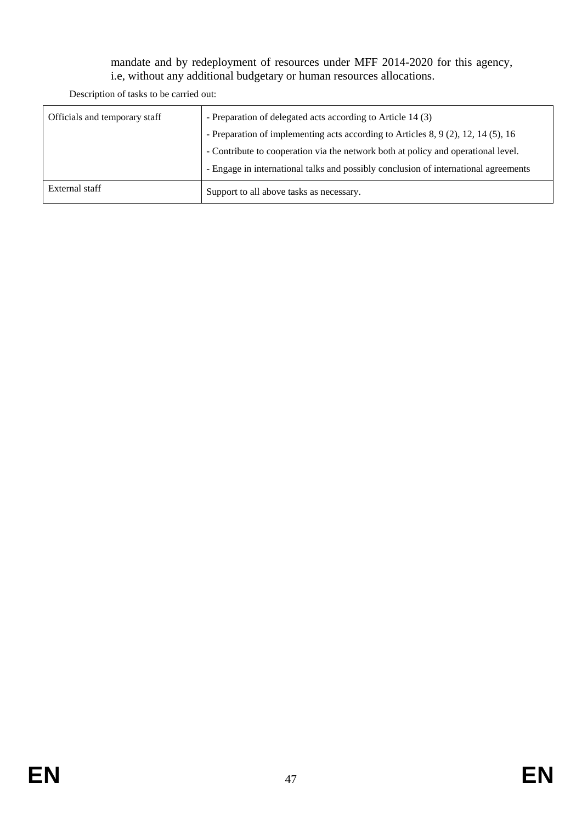## mandate and by redeployment of resources under MFF 2014-2020 for this agency, i.e, without any additional budgetary or human resources allocations.

Description of tasks to be carried out:

| Officials and temporary staff | - Preparation of delegated acts according to Article 14 (3)                         |
|-------------------------------|-------------------------------------------------------------------------------------|
|                               | - Preparation of implementing acts according to Articles 8, 9 (2), 12, 14 (5), 16   |
|                               | - Contribute to cooperation via the network both at policy and operational level.   |
|                               | - Engage in international talks and possibly conclusion of international agreements |
| External staff                | Support to all above tasks as necessary.                                            |